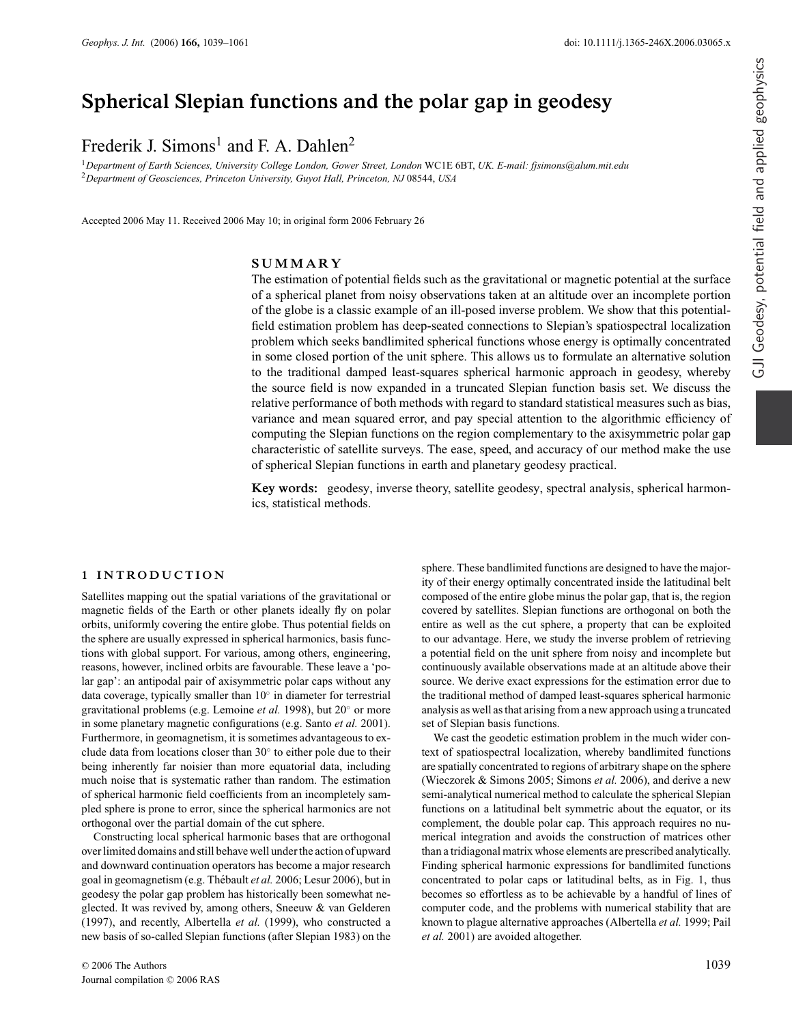# **Spherical Slepian functions and the polar gap in geodesy**

Frederik J. Simons<sup>1</sup> and F. A. Dahlen<sup>2</sup>

<sup>1</sup>*Department of Earth Sciences, University College London, Gower Street, London* WC1E 6BT, *UK. E-mail: fjsimons@alum.mit.edu* <sup>2</sup>*Department of Geosciences, Princeton University, Guyot Hall, Princeton, NJ* 08544, *USA*

Accepted 2006 May 11. Received 2006 May 10; in original form 2006 February 26

# **SUMMARY**

The estimation of potential fields such as the gravitational or magnetic potential at the surface of a spherical planet from noisy observations taken at an altitude over an incomplete portion of the globe is a classic example of an ill-posed inverse problem. We show that this potentialfield estimation problem has deep-seated connections to Slepian's spatiospectral localization problem which seeks bandlimited spherical functions whose energy is optimally concentrated in some closed portion of the unit sphere. This allows us to formulate an alternative solution to the traditional damped least-squares spherical harmonic approach in geodesy, whereby the source field is now expanded in a truncated Slepian function basis set. We discuss the relative performance of both methods with regard to standard statistical measures such as bias, variance and mean squared error, and pay special attention to the algorithmic efficiency of computing the Slepian functions on the region complementary to the axisymmetric polar gap characteristic of satellite surveys. The ease, speed, and accuracy of our method make the use of spherical Slepian functions in earth and planetary geodesy practical.

**Key words:** geodesy, inverse theory, satellite geodesy, spectral analysis, spherical harmonics, statistical methods.

## **1 INTRODUCTION**

Satellites mapping out the spatial variations of the gravitational or magnetic fields of the Earth or other planets ideally fly on polar orbits, uniformly covering the entire globe. Thus potential fields on the sphere are usually expressed in spherical harmonics, basis functions with global support. For various, among others, engineering, reasons, however, inclined orbits are favourable. These leave a 'polar gap': an antipodal pair of axisymmetric polar caps without any data coverage, typically smaller than  $10°$  in diameter for terrestrial gravitational problems (e.g. Lemoine *et al.* 1998), but 20◦ or more in some planetary magnetic configurations (e.g. Santo *et al.* 2001). Furthermore, in geomagnetism, it is sometimes advantageous to exclude data from locations closer than 30◦ to either pole due to their being inherently far noisier than more equatorial data, including much noise that is systematic rather than random. The estimation of spherical harmonic field coefficients from an incompletely sampled sphere is prone to error, since the spherical harmonics are not orthogonal over the partial domain of the cut sphere.

Constructing local spherical harmonic bases that are orthogonal over limited domains and still behave well under the action of upward and downward continuation operators has become a major research goal in geomagnetism (e.g. Thébault et al. 2006; Lesur 2006), but in geodesy the polar gap problem has historically been somewhat neglected. It was revived by, among others, Sneeuw & van Gelderen (1997), and recently, Albertella *et al.* (1999), who constructed a new basis of so-called Slepian functions (after Slepian 1983) on the

sphere. These bandlimited functions are designed to have the majority of their energy optimally concentrated inside the latitudinal belt composed of the entire globe minus the polar gap, that is, the region covered by satellites. Slepian functions are orthogonal on both the entire as well as the cut sphere, a property that can be exploited to our advantage. Here, we study the inverse problem of retrieving a potential field on the unit sphere from noisy and incomplete but continuously available observations made at an altitude above their source. We derive exact expressions for the estimation error due to the traditional method of damped least-squares spherical harmonic analysis as well as that arising from a new approach using a truncated set of Slepian basis functions.

We cast the geodetic estimation problem in the much wider context of spatiospectral localization, whereby bandlimited functions are spatially concentrated to regions of arbitrary shape on the sphere (Wieczorek & Simons 2005; Simons *et al.* 2006), and derive a new semi-analytical numerical method to calculate the spherical Slepian functions on a latitudinal belt symmetric about the equator, or its complement, the double polar cap. This approach requires no numerical integration and avoids the construction of matrices other than a tridiagonal matrix whose elements are prescribed analytically. Finding spherical harmonic expressions for bandlimited functions concentrated to polar caps or latitudinal belts, as in Fig. 1, thus becomes so effortless as to be achievable by a handful of lines of computer code, and the problems with numerical stability that are known to plague alternative approaches (Albertella *et al.* 1999; Pail *et al.* 2001) are avoided altogether.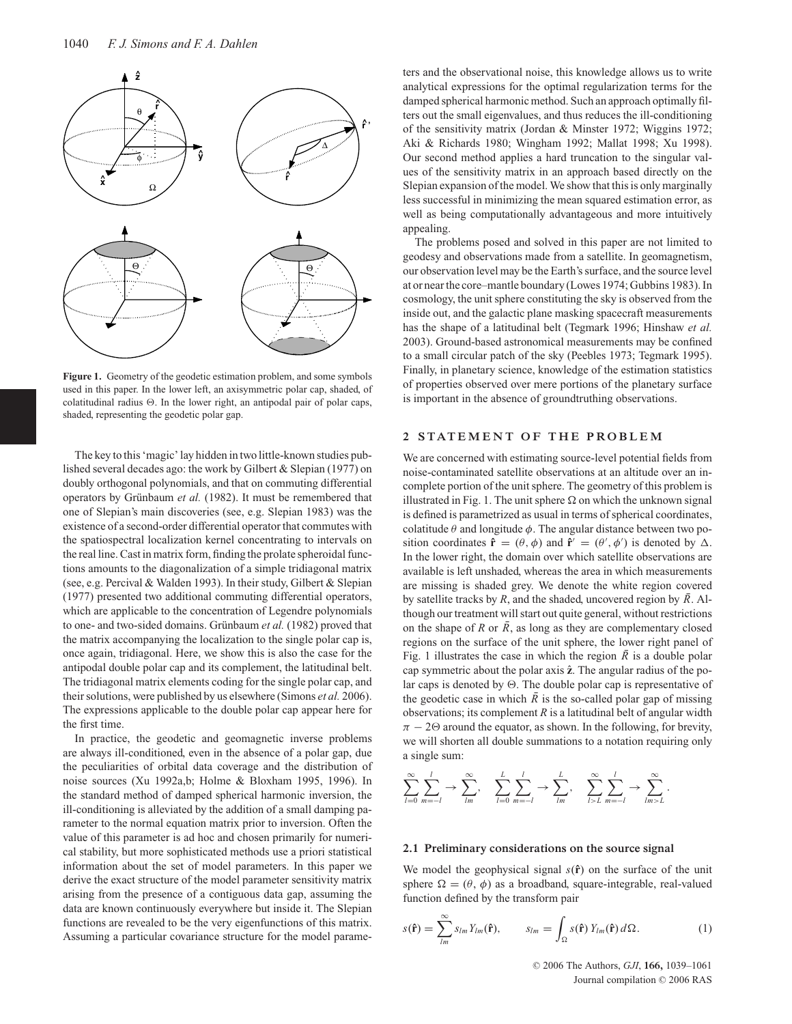

**Figure 1.** Geometry of the geodetic estimation problem, and some symbols used in this paper. In the lower left, an axisymmetric polar cap, shaded, of colatitudinal radius  $\Theta$ . In the lower right, an antipodal pair of polar caps, shaded, representing the geodetic polar gap.

The key to this 'magic' lay hidden in two little-known studies published several decades ago: the work by Gilbert & Slepian (1977) on doubly orthogonal polynomials, and that on commuting differential operators by Grünbaum et al. (1982). It must be remembered that one of Slepian's main discoveries (see, e.g. Slepian 1983) was the existence of a second-order differential operator that commutes with the spatiospectral localization kernel concentrating to intervals on the real line. Cast in matrix form, finding the prolate spheroidal functions amounts to the diagonalization of a simple tridiagonal matrix (see, e.g. Percival & Walden 1993). In their study, Gilbert & Slepian (1977) presented two additional commuting differential operators, which are applicable to the concentration of Legendre polynomials to one- and two-sided domains. Grünbaum et al. (1982) proved that the matrix accompanying the localization to the single polar cap is, once again, tridiagonal. Here, we show this is also the case for the antipodal double polar cap and its complement, the latitudinal belt. The tridiagonal matrix elements coding for the single polar cap, and their solutions, were published by us elsewhere (Simons *et al.* 2006). The expressions applicable to the double polar cap appear here for the first time.

In practice, the geodetic and geomagnetic inverse problems are always ill-conditioned, even in the absence of a polar gap, due the peculiarities of orbital data coverage and the distribution of noise sources (Xu 1992a,b; Holme & Bloxham 1995, 1996). In the standard method of damped spherical harmonic inversion, the ill-conditioning is alleviated by the addition of a small damping parameter to the normal equation matrix prior to inversion. Often the value of this parameter is ad hoc and chosen primarily for numerical stability, but more sophisticated methods use a priori statistical information about the set of model parameters. In this paper we derive the exact structure of the model parameter sensitivity matrix arising from the presence of a contiguous data gap, assuming the data are known continuously everywhere but inside it. The Slepian functions are revealed to be the very eigenfunctions of this matrix. Assuming a particular covariance structure for the model parameters and the observational noise, this knowledge allows us to write analytical expressions for the optimal regularization terms for the damped spherical harmonic method. Such an approach optimally filters out the small eigenvalues, and thus reduces the ill-conditioning of the sensitivity matrix (Jordan & Minster 1972; Wiggins 1972; Aki & Richards 1980; Wingham 1992; Mallat 1998; Xu 1998). Our second method applies a hard truncation to the singular values of the sensitivity matrix in an approach based directly on the Slepian expansion of the model. We show that this is only marginally less successful in minimizing the mean squared estimation error, as well as being computationally advantageous and more intuitively appealing.

The problems posed and solved in this paper are not limited to geodesy and observations made from a satellite. In geomagnetism, our observation level may be the Earth's surface, and the source level at or near the core–mantle boundary (Lowes 1974; Gubbins 1983). In cosmology, the unit sphere constituting the sky is observed from the inside out, and the galactic plane masking spacecraft measurements has the shape of a latitudinal belt (Tegmark 1996; Hinshaw *et al.* 2003). Ground-based astronomical measurements may be confined to a small circular patch of the sky (Peebles 1973; Tegmark 1995). Finally, in planetary science, knowledge of the estimation statistics of properties observed over mere portions of the planetary surface is important in the absence of groundtruthing observations.

#### **2 STATEMENT OF THE PROBLEM**

We are concerned with estimating source-level potential fields from noise-contaminated satellite observations at an altitude over an incomplete portion of the unit sphere. The geometry of this problem is illustrated in Fig. 1. The unit sphere  $\Omega$  on which the unknown signal is defined is parametrized as usual in terms of spherical coordinates, colatitude  $\theta$  and longitude  $\phi$ . The angular distance between two position coordinates  $\hat{\mathbf{r}} = (\theta, \phi)$  and  $\hat{\mathbf{r}}' = (\theta', \phi')$  is denoted by  $\Delta$ . In the lower right, the domain over which satellite observations are available is left unshaded, whereas the area in which measurements are missing is shaded grey. We denote the white region covered by satellite tracks by *R*, and the shaded, uncovered region by *R*. Although our treatment will start out quite general, without restrictions on the shape of *R* or  $\overline{R}$ , as long as they are complementary closed regions on the surface of the unit sphere, the lower right panel of Fig. 1 illustrates the case in which the region  $\overline{R}$  is a double polar cap symmetric about the polar axis **z**ˆ. The angular radius of the polar caps is denoted by  $\Theta$ . The double polar cap is representative of the geodetic case in which  $\overline{R}$  is the so-called polar gap of missing observations; its complement *R* is a latitudinal belt of angular width  $\pi$  – 2 $\Theta$  around the equator, as shown. In the following, for brevity, we will shorten all double summations to a notation requiring only a single sum:

$$
\sum_{l=0}^{\infty}\sum_{m=-l}^{l}\rightarrow\sum_{lm}^{\infty},\quad\sum_{l=0}^{L}\sum_{m=-l}^{l}\rightarrow\sum_{lm}^{L},\quad\sum_{l>L}^{\infty}\sum_{m=-l}^{l}\rightarrow\sum_{lm>L}^{\infty}.
$$

#### **2.1 Preliminary considerations on the source signal**

We model the geophysical signal  $s(\hat{r})$  on the surface of the unit sphere  $\Omega = (\theta, \phi)$  as a broadband, square-integrable, real-valued function defined by the transform pair

$$
s(\hat{\mathbf{r}}) = \sum_{lm}^{\infty} s_{lm} Y_{lm}(\hat{\mathbf{r}}), \qquad s_{lm} = \int_{\Omega} s(\hat{\mathbf{r}}) Y_{lm}(\hat{\mathbf{r}}) d\Omega.
$$
 (1)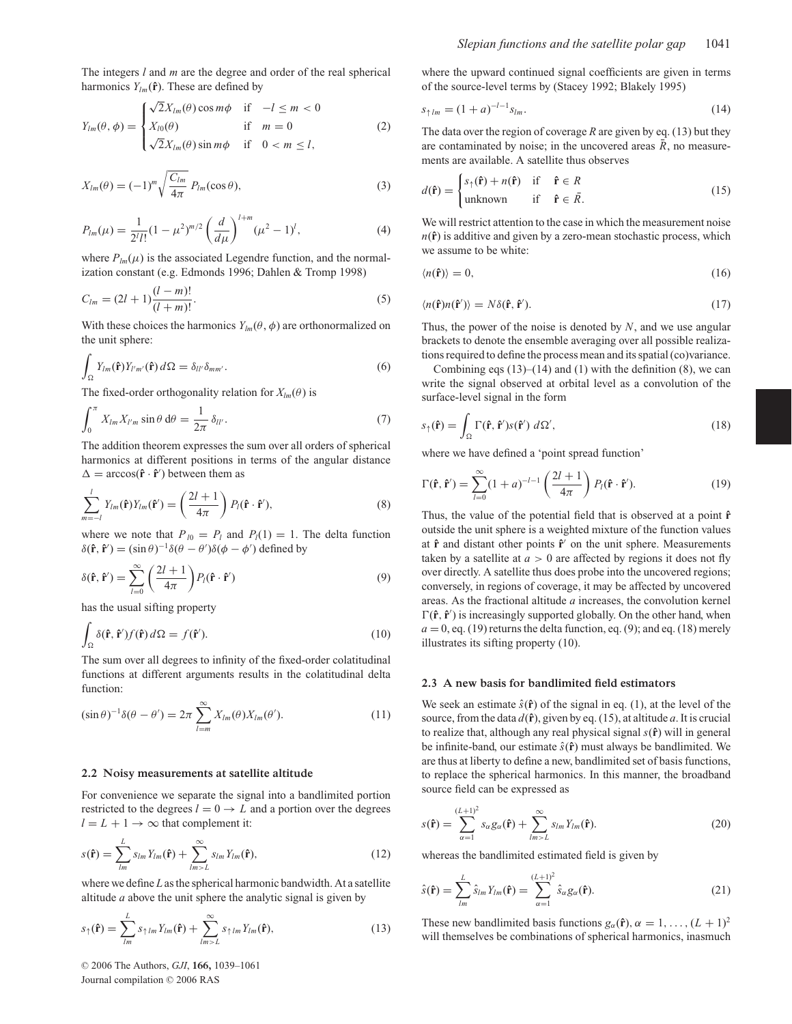The integers *l* and *m* are the degree and order of the real spherical harmonics  $Y_{lm}(\hat{\mathbf{r}})$ . These are defined by

$$
Y_{lm}(\theta,\phi) = \begin{cases} \sqrt{2}X_{lm}(\theta)\cos m\phi & \text{if } -l \le m < 0\\ X_{l0}(\theta) & \text{if } m = 0\\ \sqrt{2}X_{lm}(\theta)\sin m\phi & \text{if } 0 < m \le l, \end{cases}
$$
 (2)

$$
X_{lm}(\theta) = (-1)^m \sqrt{\frac{C_{lm}}{4\pi}} P_{lm}(\cos \theta),
$$
 (3)

$$
P_{lm}(\mu) = \frac{1}{2^l l!} (1 - \mu^2)^{m/2} \left(\frac{d}{d\mu}\right)^{l+m} (\mu^2 - 1)^l,
$$
 (4)

where  $P_{lm}(\mu)$  is the associated Legendre function, and the normalization constant (e.g. Edmonds 1996; Dahlen & Tromp 1998)

$$
C_{lm} = (2l+1)\frac{(l-m)!}{(l+m)!}.
$$
\n(5)

With these choices the harmonics  $Y_{lm}(\theta, \phi)$  are orthonormalized on the unit sphere:

$$
\int_{\Omega} Y_{lm}(\hat{\mathbf{r}}) Y_{l'm'}(\hat{\mathbf{r}}) d\Omega = \delta_{ll'} \delta_{mm'}.
$$
\n(6)

The fixed-order orthogonality relation for  $X_{lm}(\theta)$  is

$$
\int_0^\pi X_{lm} X_{l'm} \sin \theta \, d\theta = \frac{1}{2\pi} \, \delta_{ll'}.\tag{7}
$$

The addition theorem expresses the sum over all orders of spherical harmonics at different positions in terms of the angular distance  $\Delta = \arccos(\hat{\mathbf{r}} \cdot \hat{\mathbf{r}}')$  between them as

$$
\sum_{m=-l}^{l} Y_{lm}(\mathbf{\hat{r}}) Y_{lm}(\mathbf{\hat{r}}') = \left(\frac{2l+1}{4\pi}\right) P_l(\mathbf{\hat{r}} \cdot \mathbf{\hat{r}}'),\tag{8}
$$

where we note that  $P_{l0} = P_l$  and  $P_l(1) = 1$ . The delta function  $\delta(\hat{\mathbf{r}}, \hat{\mathbf{r}}') = (\sin \theta)^{-1} \delta(\theta - \theta') \delta(\phi - \phi')$  defined by

$$
\delta(\hat{\mathbf{r}}, \hat{\mathbf{r}}') = \sum_{l=0}^{\infty} \left( \frac{2l+1}{4\pi} \right) P_l(\hat{\mathbf{r}} \cdot \hat{\mathbf{r}}')
$$
(9)

has the usual sifting property

$$
\int_{\Omega} \delta(\mathbf{\hat{r}}, \mathbf{\hat{r}}') f(\mathbf{\hat{r}}) d\Omega = f(\mathbf{\hat{r}}').
$$
\n(10)

The sum over all degrees to infinity of the fixed-order colatitudinal functions at different arguments results in the colatitudinal delta function:

$$
(\sin \theta)^{-1} \delta(\theta - \theta') = 2\pi \sum_{l=m}^{\infty} X_{lm}(\theta) X_{lm}(\theta').
$$
 (11)

#### **2.2 Noisy measurements at satellite altitude**

For convenience we separate the signal into a bandlimited portion restricted to the degrees  $l = 0 \rightarrow L$  and a portion over the degrees  $l = L + 1 \rightarrow \infty$  that complement it:

$$
s(\hat{\mathbf{r}}) = \sum_{lm}^{L} s_{lm} Y_{lm}(\hat{\mathbf{r}}) + \sum_{lm>L}^{\infty} s_{lm} Y_{lm}(\hat{\mathbf{r}}),
$$
(12)

where we define *L* as the spherical harmonic bandwidth. At a satellite altitude *a* above the unit sphere the analytic signal is given by

$$
s_{\uparrow}(\mathbf{\hat{r}}) = \sum_{lm}^{L} s_{\uparrow lm} Y_{lm}(\mathbf{\hat{r}}) + \sum_{lm>L}^{\infty} s_{\uparrow lm} Y_{lm}(\mathbf{\hat{r}}), \qquad (13)
$$

where the upward continued signal coefficients are given in terms of the source-level terms by (Stacey 1992; Blakely 1995)

$$
s_{\uparrow lm} = (1+a)^{-l-1} s_{lm}.\tag{14}
$$

The data over the region of coverage *R* are given by eq. (13) but they are contaminated by noise; in the uncovered areas  $\bar{R}$ , no measurements are available. A satellite thus observes

$$
d(\hat{\mathbf{r}}) = \begin{cases} s_{\uparrow}(\hat{\mathbf{r}}) + n(\hat{\mathbf{r}}) & \text{if } \hat{\mathbf{r}} \in R \\ \text{unknown} & \text{if } \hat{\mathbf{r}} \in \bar{R}. \end{cases}
$$
(15)

We will restrict attention to the case in which the measurement noise  $n(\hat{\mathbf{r}})$  is additive and given by a zero-mean stochastic process, which we assume to be white:

$$
\langle n(\hat{\mathbf{r}})\rangle = 0,\tag{16}
$$

$$
\langle n(\hat{\mathbf{r}})n(\hat{\mathbf{r}}')\rangle = N\delta(\hat{\mathbf{r}}, \hat{\mathbf{r}}').
$$
 (17)

Thus, the power of the noise is denoted by *N*, and we use angular brackets to denote the ensemble averaging over all possible realizations required to define the process mean and its spatial (co)variance.

Combining eqs  $(13)$ – $(14)$  and  $(1)$  with the definition  $(8)$ , we can write the signal observed at orbital level as a convolution of the surface-level signal in the form

$$
s_{\uparrow}(\hat{\mathbf{r}}) = \int_{\Omega} \Gamma(\hat{\mathbf{r}}, \hat{\mathbf{r}}') s(\hat{\mathbf{r}}') d\Omega', \qquad (18)
$$

where we have defined a 'point spread function'

$$
\Gamma(\mathbf{\hat{r}}, \mathbf{\hat{r}}') = \sum_{l=0}^{\infty} (1+a)^{-l-1} \left(\frac{2l+1}{4\pi}\right) P_l(\mathbf{\hat{r}} \cdot \mathbf{\hat{r}}'). \tag{19}
$$

Thus, the value of the potential field that is observed at a point **rˆ** outside the unit sphere is a weighted mixture of the function values at **rˆ** and distant other points **rˆ** on the unit sphere. Measurements taken by a satellite at  $a > 0$  are affected by regions it does not fly over directly. A satellite thus does probe into the uncovered regions; conversely, in regions of coverage, it may be affected by uncovered areas. As the fractional altitude *a* increases, the convolution kernel  $\Gamma(\hat{\mathbf{r}}, \hat{\mathbf{r}}')$  is increasingly supported globally. On the other hand, when  $a = 0$ , eq. (19) returns the delta function, eq. (9); and eq. (18) merely illustrates its sifting property (10).

## **2.3 A new basis for bandlimited field estimators**

We seek an estimate  $\hat{s}(\hat{r})$  of the signal in eq. (1), at the level of the source, from the data  $d(\hat{\mathbf{r}})$ , given by eq. (15), at altitude *a*. It is crucial to realize that, although any real physical signal  $s(\hat{r})$  will in general be infinite-band, our estimate *s*ˆ(**rˆ**) must always be bandlimited. We are thus at liberty to define a new, bandlimited set of basis functions, to replace the spherical harmonics. In this manner, the broadband source field can be expressed as

$$
s(\hat{\mathbf{r}}) = \sum_{\alpha=1}^{(L+1)^2} s_{\alpha} g_{\alpha}(\hat{\mathbf{r}}) + \sum_{lm>L}^{\infty} s_{lm} Y_{lm}(\hat{\mathbf{r}}).
$$
 (20)

whereas the bandlimited estimated field is given by

$$
\hat{s}(\hat{\mathbf{r}}) = \sum_{lm}^{L} \hat{s}_{lm} Y_{lm}(\hat{\mathbf{r}}) = \sum_{\alpha=1}^{(L+1)^2} \hat{s}_{\alpha} g_{\alpha}(\hat{\mathbf{r}}).
$$
 (21)

These new bandlimited basis functions  $g_{\alpha}(\hat{\mathbf{r}}), \alpha = 1, \ldots, (L+1)^2$ will themselves be combinations of spherical harmonics, inasmuch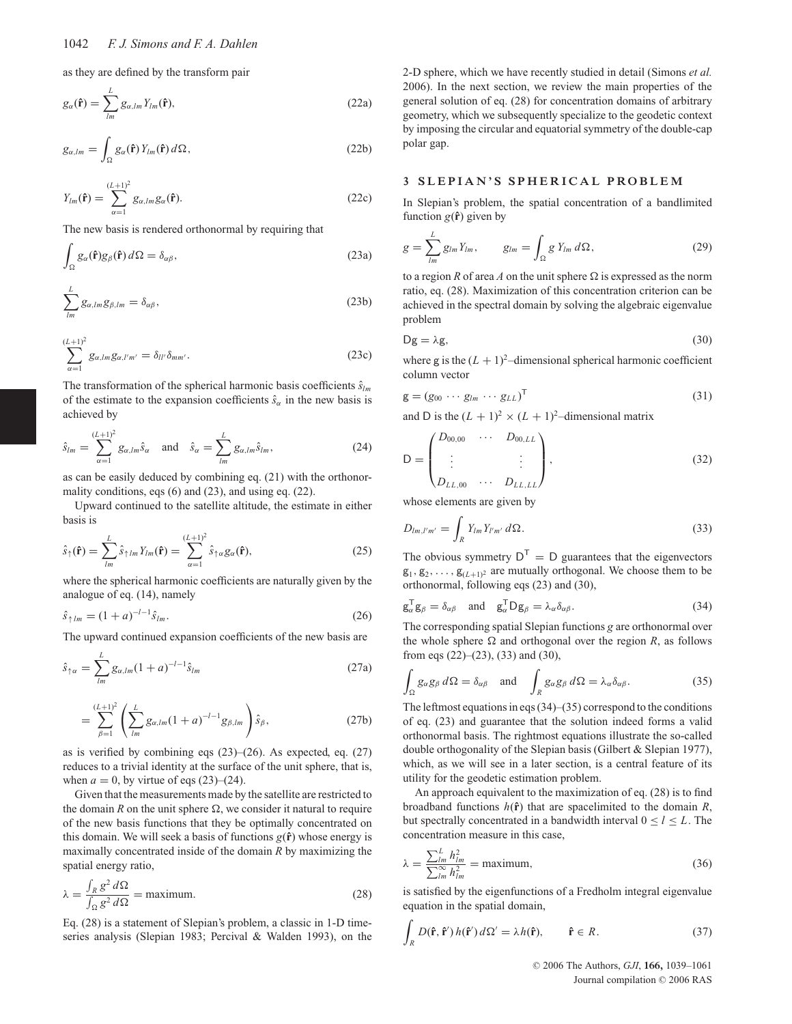as they are defined by the transform pair

$$
g_{\alpha}(\hat{\mathbf{r}}) = \sum_{lm}^{L} g_{\alpha,lm} Y_{lm}(\hat{\mathbf{r}}),
$$
\n(22a)

$$
g_{\alpha,lm} = \int_{\Omega} g_{\alpha}(\hat{\mathbf{r}}) Y_{lm}(\hat{\mathbf{r}}) d\Omega, \qquad (22b)
$$

$$
Y_{lm}(\hat{\mathbf{r}}) = \sum_{\alpha=1}^{(L+1)^2} g_{\alpha,lm} g_{\alpha}(\hat{\mathbf{r}}).
$$
 (22c)

The new basis is rendered orthonormal by requiring that

$$
\int_{\Omega} g_{\alpha}(\hat{\mathbf{r}}) g_{\beta}(\hat{\mathbf{r}}) d\Omega = \delta_{\alpha\beta},
$$
\n(23a)

$$
\sum_{lm}^{L} g_{\alpha,lm} g_{\beta,lm} = \delta_{\alpha\beta},\tag{23b}
$$

$$
\sum_{\alpha=1}^{(L+1)^2} g_{\alpha,lm} g_{\alpha,l'm'} = \delta_{ll'} \delta_{mm'}.
$$
\n(23c)

The transformation of the spherical harmonic basis coefficients  $\hat{s}_{lm}$ of the estimate to the expansion coefficients  $\hat{s}_{\alpha}$  in the new basis is achieved by

$$
\hat{s}_{lm} = \sum_{\alpha=1}^{(L+1)^2} g_{\alpha,lm} \hat{s}_{\alpha} \quad \text{and} \quad \hat{s}_{\alpha} = \sum_{lm}^{L} g_{\alpha,lm} \hat{s}_{lm}, \tag{24}
$$

as can be easily deduced by combining eq. (21) with the orthonormality conditions, eqs (6) and (23), and using eq. (22).

Upward continued to the satellite altitude, the estimate in either basis is

$$
\hat{s}_{\uparrow}(\hat{\mathbf{r}}) = \sum_{lm}^{L} \hat{s}_{\uparrow lm} Y_{lm}(\hat{\mathbf{r}}) = \sum_{\alpha=1}^{(L+1)^2} \hat{s}_{\uparrow \alpha} g_{\alpha}(\hat{\mathbf{r}}),
$$
\n(25)

where the spherical harmonic coefficients are naturally given by the analogue of eq. (14), namely

$$
\hat{s}_{\uparrow lm} = (1+a)^{-l-1} \hat{s}_{lm}.
$$
\n(26)

The upward continued expansion coefficients of the new basis are

$$
\hat{s}_{\uparrow\alpha} = \sum_{lm}^{L} g_{\alpha,lm} (1+a)^{-l-1} \hat{s}_{lm}
$$
 (27a)

$$
= \sum_{\beta=1}^{(L+1)^2} \left( \sum_{lm}^{L} g_{\alpha,lm} (1+a)^{-l-1} g_{\beta,lm} \right) \hat{s}_{\beta}, \qquad (27b)
$$

as is verified by combining eqs (23)–(26). As expected, eq. (27) reduces to a trivial identity at the surface of the unit sphere, that is, when  $a = 0$ , by virtue of eqs (23)–(24).

Given that the measurements made by the satellite are restricted to the domain  $R$  on the unit sphere  $\Omega$ , we consider it natural to require of the new basis functions that they be optimally concentrated on this domain. We will seek a basis of functions  $g(\hat{\mathbf{r}})$  whose energy is maximally concentrated inside of the domain *R* by maximizing the spatial energy ratio,

$$
\lambda = \frac{\int_{R} g^{2} d\Omega}{\int_{\Omega} g^{2} d\Omega} = \text{maximum.}
$$
\n(28)

Eq. (28) is a statement of Slepian's problem, a classic in 1-D timeseries analysis (Slepian 1983; Percival & Walden 1993), on the 2-D sphere, which we have recently studied in detail (Simons *et al.* 2006). In the next section, we review the main properties of the general solution of eq. (28) for concentration domains of arbitrary geometry, which we subsequently specialize to the geodetic context by imposing the circular and equatorial symmetry of the double-cap polar gap.

## **3 SLEPIAN'S SPHERICAL PROBLEM**

In Slepian's problem, the spatial concentration of a bandlimited function  $g(\hat{\mathbf{r}})$  given by

$$
g = \sum_{lm}^{L} g_{lm} Y_{lm}, \qquad g_{lm} = \int_{\Omega} g Y_{lm} d\Omega, \qquad (29)
$$

to a region *R* of area *A* on the unit sphere  $\Omega$  is expressed as the norm ratio, eq. (28). Maximization of this concentration criterion can be achieved in the spectral domain by solving the algebraic eigenvalue problem

$$
Dg = \lambda g,\tag{30}
$$

where g is the  $(L + 1)^2$ –dimensional spherical harmonic coefficient column vector

$$
\mathbf{g} = (g_{00} \cdots g_{lm} \cdots g_{LL})^{\mathsf{T}}
$$
\n(31)

and D is the  $(L + 1)^2 \times (L + 1)^2$ –dimensional matrix

$$
D = \begin{pmatrix} D_{00,00} & \cdots & D_{00,LL} \\ \vdots & & \vdots \\ D_{LL,00} & \cdots & D_{LL,LL} \end{pmatrix},
$$
 (32)

whose elements are given by

$$
D_{lm,l'm'} = \int_{R} Y_{lm} Y_{l'm'} d\Omega.
$$
 (33)

The obvious symmetry  $D<sup>T</sup> = D$  guarantees that the eigenvectors  $g_1, g_2, \ldots, g_{(L+1)^2}$  are mutually orthogonal. We choose them to be orthonormal, following eqs (23) and (30),

$$
\mathsf{g}_{\alpha}^{\mathsf{T}}\mathsf{g}_{\beta} = \delta_{\alpha\beta} \quad \text{and} \quad \mathsf{g}_{\alpha}^{\mathsf{T}}\mathsf{D}\mathsf{g}_{\beta} = \lambda_{\alpha}\delta_{\alpha\beta}.
$$
 (34)

The corresponding spatial Slepian functions *g* are orthonormal over the whole sphere  $\Omega$  and orthogonal over the region *R*, as follows from eqs (22)–(23), (33) and (30),

$$
\int_{\Omega} g_{\alpha} g_{\beta} d\Omega = \delta_{\alpha\beta} \quad \text{and} \quad \int_{R} g_{\alpha} g_{\beta} d\Omega = \lambda_{\alpha} \delta_{\alpha\beta}.
$$
 (35)

The leftmost equations in eqs  $(34)$ – $(35)$  correspond to the conditions of eq. (23) and guarantee that the solution indeed forms a valid orthonormal basis. The rightmost equations illustrate the so-called double orthogonality of the Slepian basis (Gilbert & Slepian 1977), which, as we will see in a later section, is a central feature of its utility for the geodetic estimation problem.

An approach equivalent to the maximization of eq. (28) is to find broadband functions  $h(\hat{\mathbf{r}})$  that are spacelimited to the domain  $R$ , but spectrally concentrated in a bandwidth interval  $0 \le l \le L$ . The concentration measure in this case,

$$
\lambda = \frac{\sum_{lm}^{L} h_{lm}^2}{\sum_{lm}^{\infty} h_{lm}^2} = \text{maximum},\tag{36}
$$

is satisfied by the eigenfunctions of a Fredholm integral eigenvalue equation in the spatial domain,

$$
\int_{R} D(\hat{\mathbf{r}}, \hat{\mathbf{r}}') h(\hat{\mathbf{r}}') d\Omega' = \lambda h(\hat{\mathbf{r}}), \qquad \hat{\mathbf{r}} \in R.
$$
\n(37)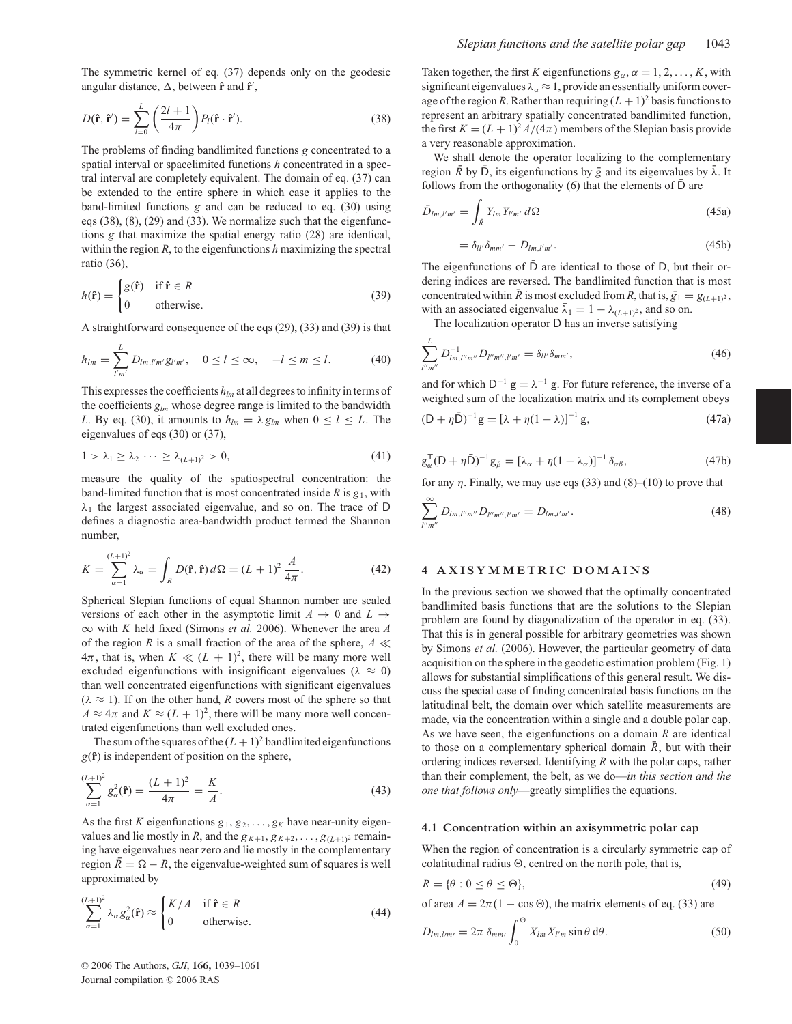The symmetric kernel of eq. (37) depends only on the geodesic angular distance,  $\Delta$ , between  $\hat{\mathbf{r}}$  and  $\hat{\mathbf{r}}'$ ,

$$
D(\hat{\mathbf{r}}, \hat{\mathbf{r}}') = \sum_{l=0}^{L} \left(\frac{2l+1}{4\pi}\right) P_l(\hat{\mathbf{r}} \cdot \hat{\mathbf{r}}').
$$
 (38)

The problems of finding bandlimited functions *g* concentrated to a spatial interval or spacelimited functions *h* concentrated in a spectral interval are completely equivalent. The domain of eq. (37) can be extended to the entire sphere in which case it applies to the band-limited functions *g* and can be reduced to eq. (30) using eqs (38), (8), (29) and (33). We normalize such that the eigenfunctions *g* that maximize the spatial energy ratio (28) are identical, within the region *R*, to the eigenfunctions *h* maximizing the spectral ratio (36),

$$
h(\hat{\mathbf{r}}) = \begin{cases} g(\hat{\mathbf{r}}) & \text{if } \hat{\mathbf{r}} \in R \\ 0 & \text{otherwise.} \end{cases}
$$
 (39)

A straightforward consequence of the eqs (29), (33) and (39) is that

$$
h_{lm} = \sum_{l'm'}^{L} D_{lm,l'm'} g_{l'm'}, \quad 0 \le l \le \infty, \quad -l \le m \le l.
$$
 (40)

This expresses the coefficients *hlm* at all degrees to infinity in terms of the coefficients *glm* whose degree range is limited to the bandwidth *L*. By eq. (30), it amounts to  $h_{lm} = \lambda g_{lm}$  when  $0 \le l \le L$ . The eigenvalues of eqs (30) or (37),

$$
1 > \lambda_1 \geq \lambda_2 \cdots \geq \lambda_{(L+1)^2} > 0,
$$
\n
$$
(41)
$$

measure the quality of the spatiospectral concentration: the band-limited function that is most concentrated inside  $R$  is  $g_1$ , with  $\lambda_1$  the largest associated eigenvalue, and so on. The trace of D defines a diagnostic area-bandwidth product termed the Shannon number,

$$
K = \sum_{\alpha=1}^{(L+1)^2} \lambda_{\alpha} = \int_{R} D(\hat{\mathbf{r}}, \hat{\mathbf{r}}) d\Omega = (L+1)^2 \frac{A}{4\pi}.
$$
 (42)

Spherical Slepian functions of equal Shannon number are scaled versions of each other in the asymptotic limit  $A \rightarrow 0$  and  $L \rightarrow$ ∞ with *K* held fixed (Simons *et al.* 2006). Whenever the area *A* of the region *R* is a small fraction of the area of the sphere,  $A \ll$  $4\pi$ , that is, when  $K \ll (L + 1)^2$ , there will be many more well excluded eigenfunctions with insignificant eigenvalues ( $\lambda \approx 0$ ) than well concentrated eigenfunctions with significant eigenvalues  $(\lambda \approx 1)$ . If on the other hand, *R* covers most of the sphere so that  $A \approx 4\pi$  and  $K \approx (L + 1)^2$ , there will be many more well concentrated eigenfunctions than well excluded ones.

The sum of the squares of the  $(L + 1)^2$  bandlimited eigenfunctions  $g(\hat{\mathbf{r}})$  is independent of position on the sphere,

$$
\sum_{\alpha=1}^{(L+1)^2} g_{\alpha}^2(\hat{\mathbf{r}}) = \frac{(L+1)^2}{4\pi} = \frac{K}{A}.
$$
 (43)

As the first *K* eigenfunctions  $g_1, g_2, \ldots, g_k$  have near-unity eigenvalues and lie mostly in *R*, and the  $g_{K+1}, g_{K+2}, \ldots, g_{(L+1)^2}$  remaining have eigenvalues near zero and lie mostly in the complementary region  $\overline{R} = \Omega - R$ , the eigenvalue-weighted sum of squares is well approximated by

$$
\sum_{\alpha=1}^{(L+1)^2} \lambda_{\alpha} g_{\alpha}^2(\hat{\mathbf{r}}) \approx \begin{cases} K/A & \text{if } \hat{\mathbf{r}} \in R \\ 0 & \text{otherwise.} \end{cases} \tag{44}
$$

Taken together, the first *K* eigenfunctions  $g_{\alpha}$ ,  $\alpha = 1, 2, ..., K$ , with significant eigenvalues  $\lambda_{\alpha} \approx 1$ , provide an essentially uniform coverage of the region *R*. Rather than requiring  $(L + 1)^2$  basis functions to represent an arbitrary spatially concentrated bandlimited function, the first  $K = (L + 1)^2 A/(4\pi)$  members of the Slepian basis provide a very reasonable approximation.

We shall denote the operator localizing to the complementary region  $\bar{R}$  by  $\bar{D}$ , its eigenfunctions by  $\bar{g}$  and its eigenvalues by  $\bar{\lambda}$ . It follows from the orthogonality (6) that the elements of  $\bar{D}$  are

$$
\bar{D}_{lm,l'm'} = \int_{\bar{R}} Y_{lm} Y_{l'm'} d\Omega \tag{45a}
$$

$$
= \delta_{ll'}\delta_{mm'} - D_{lm,l'm'}.\tag{45b}
$$

The eigenfunctions of  $\bar{D}$  are identical to those of D, but their ordering indices are reversed. The bandlimited function that is most concentrated within  $\bar{R}$  is most excluded from *R*, that is,  $\bar{g}_1 = g_{(L+1)^2}$ , with an associated eigenvalue  $\bar{\lambda}_1 = 1 - \lambda_{(L+1)^2}$ , and so on.

The localization operator D has an inverse satisfying

$$
\sum_{l''m''}^{L} D^{-1}_{lm,l''m''} D_{l''m'',l'm'} = \delta_{ll'} \delta_{mm'}, \tag{46}
$$

and for which  $D^{-1}$  g =  $\lambda^{-1}$  g. For future reference, the inverse of a weighted sum of the localization matrix and its complement obeys

$$
(D + \eta \bar{D})^{-1} g = [\lambda + \eta (1 - \lambda)]^{-1} g,
$$
\n(47a)

$$
\mathsf{g}_{\alpha}^{\mathsf{T}}(\mathsf{D} + \eta \bar{\mathsf{D}})^{-1} \mathsf{g}_{\beta} = [\lambda_{\alpha} + \eta (1 - \lambda_{\alpha})]^{-1} \delta_{\alpha\beta},\tag{47b}
$$

for any  $\eta$ . Finally, we may use eqs (33) and (8)–(10) to prove that

$$
\sum_{l''m''}^{\infty} D_{lm,l''m''} D_{l''m'',l'm'} = D_{lm,l'm'}.
$$
\n(48)

## **4 AXISYMMETRIC DOMAINS**

In the previous section we showed that the optimally concentrated bandlimited basis functions that are the solutions to the Slepian problem are found by diagonalization of the operator in eq. (33). That this is in general possible for arbitrary geometries was shown by Simons *et al.* (2006). However, the particular geometry of data acquisition on the sphere in the geodetic estimation problem (Fig. 1) allows for substantial simplifications of this general result. We discuss the special case of finding concentrated basis functions on the latitudinal belt, the domain over which satellite measurements are made, via the concentration within a single and a double polar cap. As we have seen, the eigenfunctions on a domain *R* are identical to those on a complementary spherical domain  $\bar{R}$ , but with their ordering indices reversed. Identifying *R* with the polar caps, rather than their complement, the belt, as we do—*in this section and the one that follows only*—greatly simplifies the equations.

#### **4.1 Concentration within an axisymmetric polar cap**

When the region of concentration is a circularly symmetric cap of colatitudinal radius  $\Theta$ , centred on the north pole, that is,

$$
R = \{ \theta : 0 \le \theta \le \Theta \},\tag{49}
$$

of area  $A = 2\pi (1 - \cos \Theta)$ , the matrix elements of eq. (33) are

$$
D_{lm,lm'} = 2\pi \,\delta_{mm'} \int_0^\Theta X_{lm} X_{l'm} \sin \theta \,\mathrm{d}\theta. \tag{50}
$$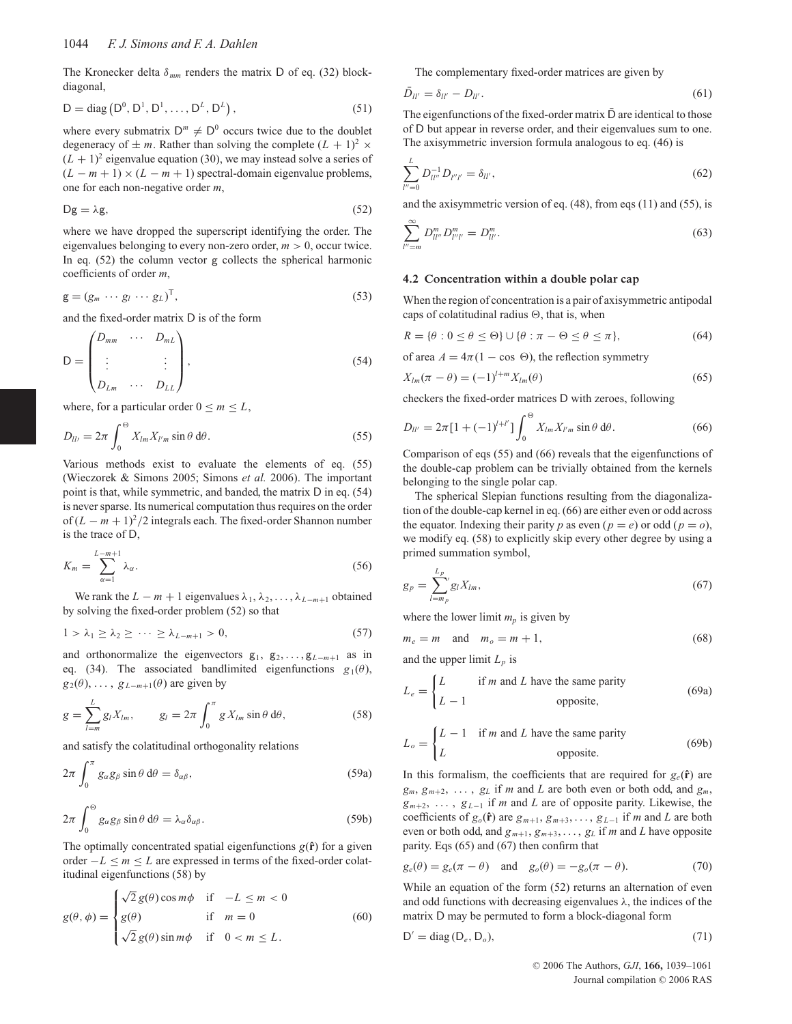The Kronecker delta  $\delta_{mm}$  renders the matrix D of eq. (32) blockdiagonal,

$$
D = diag (D^0, D^1, D^1, ..., D^L, D^L),
$$
\n(51)

where every submatrix  $D^m \neq D^0$  occurs twice due to the doublet degeneracy of  $\pm m$ . Rather than solving the complete  $(L + 1)^2$  ×  $(L + 1)^2$  eigenvalue equation (30), we may instead solve a series of  $(L - m + 1) \times (L - m + 1)$  spectral-domain eigenvalue problems, one for each non-negative order *m*,

$$
Dg = \lambda g,\tag{52}
$$

where we have dropped the superscript identifying the order. The eigenvalues belonging to every non-zero order, *m* > 0, occur twice. In eq. (52) the column vector g collects the spherical harmonic coefficients of order *m*,

$$
\mathbf{g} = (g_m \cdots g_l \cdots g_L)^{\mathsf{T}},\tag{53}
$$

and the fixed-order matrix D is of the form

$$
D = \begin{pmatrix} D_{mm} & \cdots & D_{mL} \\ \vdots & & \vdots \\ D_{Lm} & \cdots & D_{LL} \end{pmatrix},
$$
 (54)

where, for a particular order  $0 \le m \le L$ ,

$$
D_{ll'} = 2\pi \int_0^\Theta X_{lm} X_{l'm} \sin \theta \, d\theta. \tag{55}
$$

Various methods exist to evaluate the elements of eq. (55) (Wieczorek & Simons 2005; Simons *et al.* 2006). The important point is that, while symmetric, and banded, the matrix D in eq. (54) is never sparse. Its numerical computation thus requires on the order of  $(L - m + 1)^2/2$  integrals each. The fixed-order Shannon number is the trace of D,

$$
K_m = \sum_{\alpha=1}^{L-m+1} \lambda_\alpha.
$$
 (56)

We rank the  $L - m + 1$  eigenvalues  $\lambda_1, \lambda_2, \ldots, \lambda_{L-m+1}$  obtained by solving the fixed-order problem (52) so that

$$
1 > \lambda_1 \geq \lambda_2 \geq \cdots \geq \lambda_{L-m+1} > 0,
$$
\n
$$
(57)
$$

and orthonormalize the eigenvectors g1, g2, ... , g*L*−*m*+<sup>1</sup> as in eq. (34). The associated bandlimited eigenfunctions  $g_1(\theta)$ ,  $g_2(\theta), \ldots, g_{L-m+1}(\theta)$  are given by

$$
g = \sum_{l=m}^{L} g_l X_{lm}, \qquad g_l = 2\pi \int_0^{\pi} g X_{lm} \sin \theta \, d\theta, \qquad (58)
$$

and satisfy the colatitudinal orthogonality relations

$$
2\pi \int_0^{\pi} g_{\alpha} g_{\beta} \sin \theta \, d\theta = \delta_{\alpha\beta}, \tag{59a}
$$

$$
2\pi \int_0^\Theta g_\alpha g_\beta \sin \theta \, d\theta = \lambda_\alpha \delta_{\alpha\beta}.
$$
 (59b)

The optimally concentrated spatial eigenfunctions  $g(\hat{r})$  for a given order  $-L \le m \le L$  are expressed in terms of the fixed-order colatitudinal eigenfunctions (58) by

$$
g(\theta, \phi) = \begin{cases} \sqrt{2} g(\theta) \cos m\phi & \text{if } -L \le m < 0\\ g(\theta) & \text{if } m = 0\\ \sqrt{2} g(\theta) \sin m\phi & \text{if } 0 < m \le L. \end{cases}
$$
(60)

The complementary fixed-order matrices are given by

$$
\bar{D}_{ll'} = \delta_{ll'} - D_{ll'}.\tag{61}
$$

The eigenfunctions of the fixed-order matrix  $\bar{D}$  are identical to those of D but appear in reverse order, and their eigenvalues sum to one. The axisymmetric inversion formula analogous to eq. (46) is

$$
\sum_{l''=0}^{L} D_{ll''}^{-1} D_{l''l'} = \delta_{ll'}, \tag{62}
$$

and the axisymmetric version of eq. (48), from eqs (11) and (55), is

$$
\sum_{l''=m}^{\infty} D_{l''}^m D_{l''l'}^m = D_{l''}^m.
$$
\n(63)

#### **4.2 Concentration within a double polar cap**

When the region of concentration is a pair of axisymmetric antipodal caps of colatitudinal radius  $\Theta$ , that is, when

 $R = \{\theta : 0 \le \theta \le \Theta\} \cup \{\theta : \pi - \Theta \le \theta \le \pi\},$  (64)

of area  $A = 4\pi (1 - \cos \Theta)$ , the reflection symmetry

$$
X_{lm}(\pi - \theta) = (-1)^{l+m} X_{lm}(\theta)
$$
\n(65)

checkers the fixed-order matrices D with zeroes, following

$$
D_{ll'} = 2\pi \left[ 1 + (-1)^{l+l'} \right] \int_0^\Theta X_{lm} X_{l'm} \sin \theta \, d\theta. \tag{66}
$$

Comparison of eqs (55) and (66) reveals that the eigenfunctions of the double-cap problem can be trivially obtained from the kernels belonging to the single polar cap.

The spherical Slepian functions resulting from the diagonalization of the double-cap kernel in eq. (66) are either even or odd across the equator. Indexing their parity *p* as even ( $p = e$ ) or odd ( $p = o$ ), we modify eq. (58) to explicitly skip every other degree by using a primed summation symbol,

$$
g_p = \sum_{l=m_p}^{L_p} g_l X_{lm},
$$
\n(67)

where the lower limit  $m_p$  is given by

$$
m_e = m \quad \text{and} \quad m_o = m + 1,\tag{68}
$$

and the upper limit  $L_p$  is

$$
L_e = \begin{cases} L & \text{if } m \text{ and } L \text{ have the same parity} \\ L - 1 & \text{opposite,} \end{cases}
$$
 (69a)

$$
L_o = \begin{cases} L - 1 & \text{if } m \text{ and } L \text{ have the same parity} \\ L & \text{opposite.} \end{cases}
$$
 (69b)

In this formalism, the coefficients that are required for  $g_e(\hat{\bf r})$  are  $g_m, g_{m+2}, \ldots, g_L$  if *m* and *L* are both even or both odd, and  $g_m$ , *g*<sub>*m*+2</sub>, ..., *g*<sub>*L*−1</sub> if *m* and *L* are of opposite parity. Likewise, the coefficients of  $g_o(\hat{\mathbf{r}})$  are  $g_{m+1}, g_{m+3}, \ldots, g_{L-1}$  if *m* and *L* are both even or both odd, and  $g_{m+1}, g_{m+3}, \ldots, g_L$  if *m* and *L* have opposite parity. Eqs (65) and (67) then confirm that

$$
g_e(\theta) = g_e(\pi - \theta) \quad \text{and} \quad g_o(\theta) = -g_o(\pi - \theta). \tag{70}
$$

While an equation of the form (52) returns an alternation of even and odd functions with decreasing eigenvalues  $\lambda$ , the indices of the matrix D may be permuted to form a block-diagonal form

$$
D' = diag(D_e, D_o), \tag{71}
$$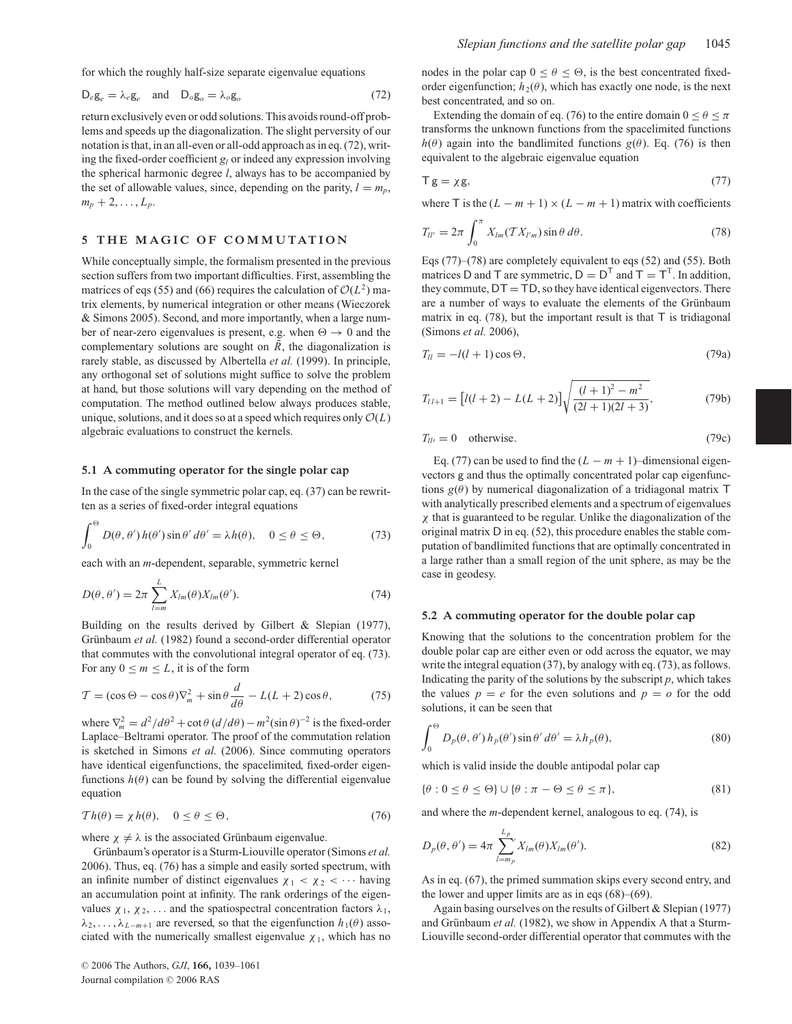for which the roughly half-size separate eigenvalue equations

$$
D_e g_e = \lambda_e g_e \quad \text{and} \quad D_o g_o = \lambda_o g_o \tag{72}
$$

return exclusively even or odd solutions. This avoids round-off problems and speeds up the diagonalization. The slight perversity of our notation is that, in an all-even or all-odd approach as in eq. (72), writing the fixed-order coefficient *gl* or indeed any expression involving the spherical harmonic degree *l*, always has to be accompanied by the set of allowable values, since, depending on the parity,  $l = m_p$ ,  $m_p + 2, \ldots, L_p$ .

## **5 THE MAGIC OF COMMUTATION**

While conceptually simple, the formalism presented in the previous section suffers from two important difficulties. First, assembling the matrices of eqs (55) and (66) requires the calculation of  $\mathcal{O}(L^2)$  matrix elements, by numerical integration or other means (Wieczorek & Simons 2005). Second, and more importantly, when a large number of near-zero eigenvalues is present, e.g. when  $\Theta \rightarrow 0$  and the complementary solutions are sought on  $\overline{R}$ , the diagonalization is rarely stable, as discussed by Albertella *et al.* (1999). In principle, any orthogonal set of solutions might suffice to solve the problem at hand, but those solutions will vary depending on the method of computation. The method outlined below always produces stable, unique, solutions, and it does so at a speed which requires only  $\mathcal{O}(L)$ algebraic evaluations to construct the kernels.

#### **5.1 A commuting operator for the single polar cap**

In the case of the single symmetric polar cap, eq. (37) can be rewritten as a series of fixed-order integral equations

$$
\int_0^\Theta D(\theta, \theta') h(\theta') \sin \theta' d\theta' = \lambda h(\theta), \quad 0 \le \theta \le \Theta,
$$
 (73)

each with an *m*-dependent, separable, symmetric kernel

$$
D(\theta, \theta') = 2\pi \sum_{l=m}^{L} X_{lm}(\theta) X_{lm}(\theta').
$$
\n(74)

Building on the results derived by Gilbert & Slepian (1977), Grünbaum et al. (1982) found a second-order differential operator that commutes with the convolutional integral operator of eq. (73). For any  $0 \le m \le L$ , it is of the form

$$
\mathcal{T} = (\cos \Theta - \cos \theta) \nabla_m^2 + \sin \theta \frac{d}{d\theta} - L(L+2) \cos \theta, \tag{75}
$$

where  $\nabla_m^2 = d^2/d\theta^2 + \cot\theta (d/d\theta) - m^2(\sin\theta)^{-2}$  is the fixed-order Laplace–Beltrami operator. The proof of the commutation relation is sketched in Simons *et al.* (2006). Since commuting operators have identical eigenfunctions, the spacelimited, fixed-order eigenfunctions  $h(\theta)$  can be found by solving the differential eigenvalue equation

$$
\mathcal{T}h(\theta) = \chi h(\theta), \quad 0 \le \theta \le \Theta,\tag{76}
$$

where  $\chi \neq \lambda$  is the associated Grünbaum eigenvalue.

Grünbaum's operator is a Sturm-Liouville operator (Simons et al. 2006). Thus, eq. (76) has a simple and easily sorted spectrum, with an infinite number of distinct eigenvalues  $\chi_1 < \chi_2 < \cdots$  having an accumulation point at infinity. The rank orderings of the eigenvalues  $\chi_1, \chi_2, \ldots$  and the spatiospectral concentration factors  $\lambda_1$ ,  $\lambda_2, \ldots, \lambda_{L-m+1}$  are reversed, so that the eigenfunction  $h_1(\theta)$  associated with the numerically smallest eigenvalue  $\chi_1$ , which has no

nodes in the polar cap  $0 \le \theta \le \Theta$ , is the best concentrated fixedorder eigenfunction;  $h_2(\theta)$ , which has exactly one node, is the next best concentrated, and so on.

Extending the domain of eq. (76) to the entire domain  $0 \le \theta \le \pi$ transforms the unknown functions from the spacelimited functions  $h(\theta)$  again into the bandlimited functions  $g(\theta)$ . Eq. (76) is then equivalent to the algebraic eigenvalue equation

$$
T g = \chi g, \tag{77}
$$

where T is the  $(L - m + 1) \times (L - m + 1)$  matrix with coefficients

$$
T_{ll'} = 2\pi \int_0^{\pi} X_{lm}(TX_{l'm}) \sin \theta \, d\theta. \tag{78}
$$

Eqs (77)–(78) are completely equivalent to eqs (52) and (55). Both matrices D and T are symmetric,  $D = D<sup>T</sup>$  and  $T = T<sup>T</sup>$ . In addition, they commute,  $DT = TD$ , so they have identical eigenvectors. There are a number of ways to evaluate the elements of the Grünbaum matrix in eq.  $(78)$ , but the important result is that  $T$  is tridiagonal (Simons *et al.* 2006),

$$
T_{ll} = -l(l+1)\cos\Theta,\tag{79a}
$$

$$
T_{l l+1} = [l(l+2) - L(L+2)]\sqrt{\frac{(l+1)^2 - m^2}{(2l+1)(2l+3)}},\tag{79b}
$$

$$
T_{ll'} = 0 \quad \text{otherwise.} \tag{79c}
$$

Eq. (77) can be used to find the  $(L - m + 1)$ –dimensional eigenvectors g and thus the optimally concentrated polar cap eigenfunctions  $g(\theta)$  by numerical diagonalization of a tridiagonal matrix T with analytically prescribed elements and a spectrum of eigenvalues  $\chi$  that is guaranteed to be regular. Unlike the diagonalization of the original matrix D in eq. (52), this procedure enables the stable computation of bandlimited functions that are optimally concentrated in a large rather than a small region of the unit sphere, as may be the case in geodesy.

#### **5.2 A commuting operator for the double polar cap**

Knowing that the solutions to the concentration problem for the double polar cap are either even or odd across the equator, we may write the integral equation (37), by analogy with eq. (73), as follows. Indicating the parity of the solutions by the subscript *p*, which takes the values  $p = e$  for the even solutions and  $p = o$  for the odd solutions, it can be seen that

$$
\int_0^\Theta D_p(\theta, \theta') h_p(\theta') \sin \theta' d\theta' = \lambda h_p(\theta), \tag{80}
$$

which is valid inside the double antipodal polar cap

$$
\{\theta: 0 \le \theta \le \Theta\} \cup \{\theta: \pi - \Theta \le \theta \le \pi\},\tag{81}
$$

and where the *m*-dependent kernel, analogous to eq. (74), is

$$
D_p(\theta, \theta') = 4\pi \sum_{l=m_p}^{L_p} X_{lm}(\theta) X_{lm}(\theta').
$$
\n(82)

As in eq. (67), the primed summation skips every second entry, and the lower and upper limits are as in eqs  $(68)$ – $(69)$ .

Again basing ourselves on the results of Gilbert & Slepian (1977) and Grünbaum et al. (1982), we show in Appendix A that a Sturm-Liouville second-order differential operator that commutes with the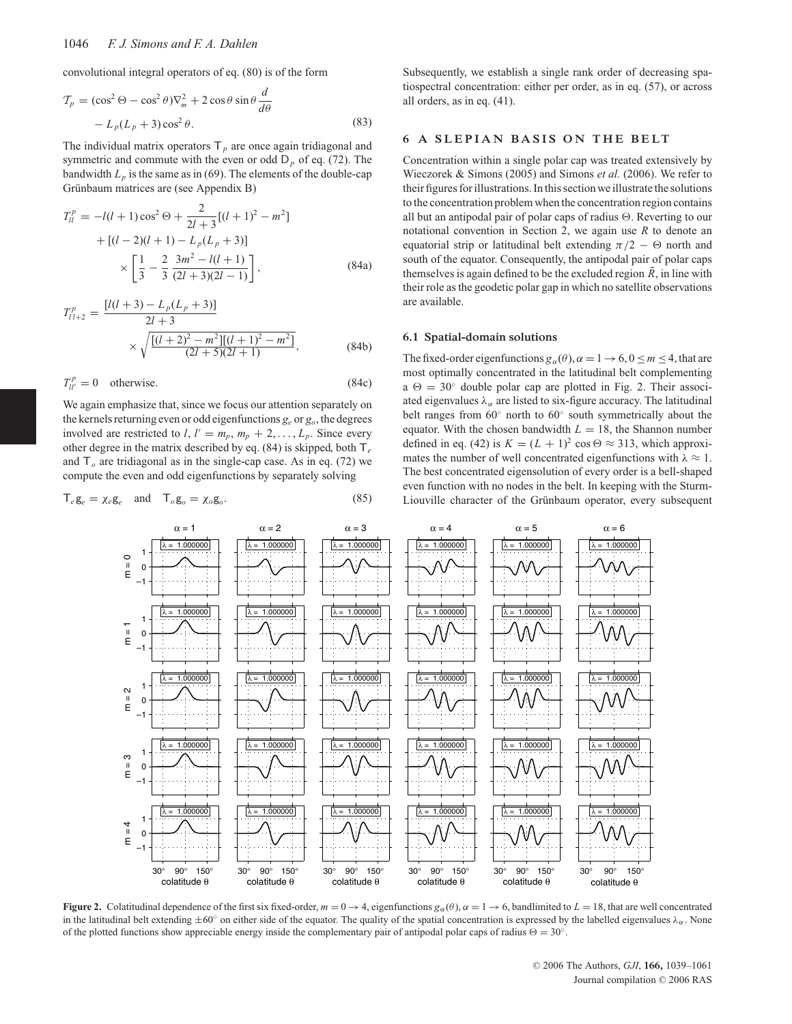convolutional integral operators of eq. (80) is of the form

$$
\mathcal{T}_p = (\cos^2 \Theta - \cos^2 \theta) \nabla_m^2 + 2 \cos \theta \sin \theta \frac{d}{d\theta} \n- L_p (L_p + 3) \cos^2 \theta.
$$
\n(83)

The individual matrix operators  $\mathsf{T}_p$  are once again tridiagonal and symmetric and commute with the even or odd  $D_p$  of eq. (72). The bandwidth  $L_p$  is the same as in (69). The elements of the double-cap Grünbaum matrices are (see Appendix B)

$$
T_{ll}^{p} = -l(l+1)\cos^{2}\Theta + \frac{2}{2l+3}[(l+1)^{2} - m^{2}]
$$
  
+ 
$$
[(l-2)(l+1) - L_{p}(L_{p} + 3)]
$$
  

$$
\times \left[\frac{1}{3} - \frac{2}{3}\frac{3m^{2} - l(l+1)}{(2l+3)(2l-1)}\right],
$$
 (84a)

$$
T_{l1+2}^{p} = \frac{[l(l+3) - L_p(L_p + 3)]}{2l + 3}
$$
  
 
$$
\times \sqrt{\frac{[(l+2)^2 - m^2][(l+1)^2 - m^2]}{(2l+5)(2l+1)}},
$$
 (84b)

$$
T_{ll'}^p = 0 \quad \text{otherwise.} \tag{84c}
$$

We again emphasize that, since we focus our attention separately on the kernels returning even or odd eigenfunctions *ge* or *go*, the degrees involved are restricted to *l*,  $l' = m_p, m_p + 2, ..., L_p$ . Since every other degree in the matrix described by eq. (84) is skipped, both T*<sup>e</sup>* and  $T<sub>o</sub>$  are tridiagonal as in the single-cap case. As in eq. (72) we compute the even and odd eigenfunctions by separately solving

$$
\mathsf{T}_e \mathsf{g}_e = \chi_e \mathsf{g}_e \quad \text{and} \quad \mathsf{T}_o \mathsf{g}_o = \chi_o \mathsf{g}_o. \tag{85}
$$

Subsequently, we establish a single rank order of decreasing spatiospectral concentration: either per order, as in eq. (57), or across all orders, as in eq. (41).

## **6 A SLEPIAN BASIS ON THE BELT**

Concentration within a single polar cap was treated extensively by Wieczorek & Simons (2005) and Simons *et al.* (2006). We refer to their figures for illustrations. In this section we illustrate the solutions to the concentration problem when the concentration region contains all but an antipodal pair of polar caps of radius  $\Theta$ . Reverting to our notational convention in Section 2, we again use *R* to denote an equatorial strip or latitudinal belt extending  $\pi/2 - \Theta$  north and south of the equator. Consequently, the antipodal pair of polar caps themselves is again defined to be the excluded region  $\bar{R}$ , in line with their role as the geodetic polar gap in which no satellite observations are available.

#### **6.1 Spatial-domain solutions**

The fixed-order eigenfunctions  $g_\alpha(\theta)$ ,  $\alpha = 1 \rightarrow 6$ ,  $0 \le m \le 4$ , that are most optimally concentrated in the latitudinal belt complementing  $a \Theta = 30^{\circ}$  double polar cap are plotted in Fig. 2. Their associated eigenvalues  $\lambda_{\alpha}$  are listed to six-figure accuracy. The latitudinal belt ranges from 60◦ north to 60◦ south symmetrically about the equator. With the chosen bandwidth  $L = 18$ , the Shannon number defined in eq. (42) is  $K = (L + 1)^2 \cos \Theta \approx 313$ , which approximates the number of well concentrated eigenfunctions with  $\lambda \approx 1$ . The best concentrated eigensolution of every order is a bell-shaped even function with no nodes in the belt. In keeping with the Sturm-Liouville character of the Grünbaum operator, every subsequent



**Figure 2.** Colatitudinal dependence of the first six fixed-order,  $m = 0 \rightarrow 4$ , eigenfunctions  $g_\alpha(\theta)$ ,  $\alpha = 1 \rightarrow 6$ , bandlimited to  $L = 18$ , that are well concentrated in the latitudinal belt extending  $\pm 60^\circ$  on either side of the equator. The quality of the spatial concentration is expressed by the labelled eigenvalues  $\lambda_\alpha$ . None of the plotted functions show appreciable energy inside the complementary pair of antipodal polar caps of radius  $\Theta = 30^\circ$ .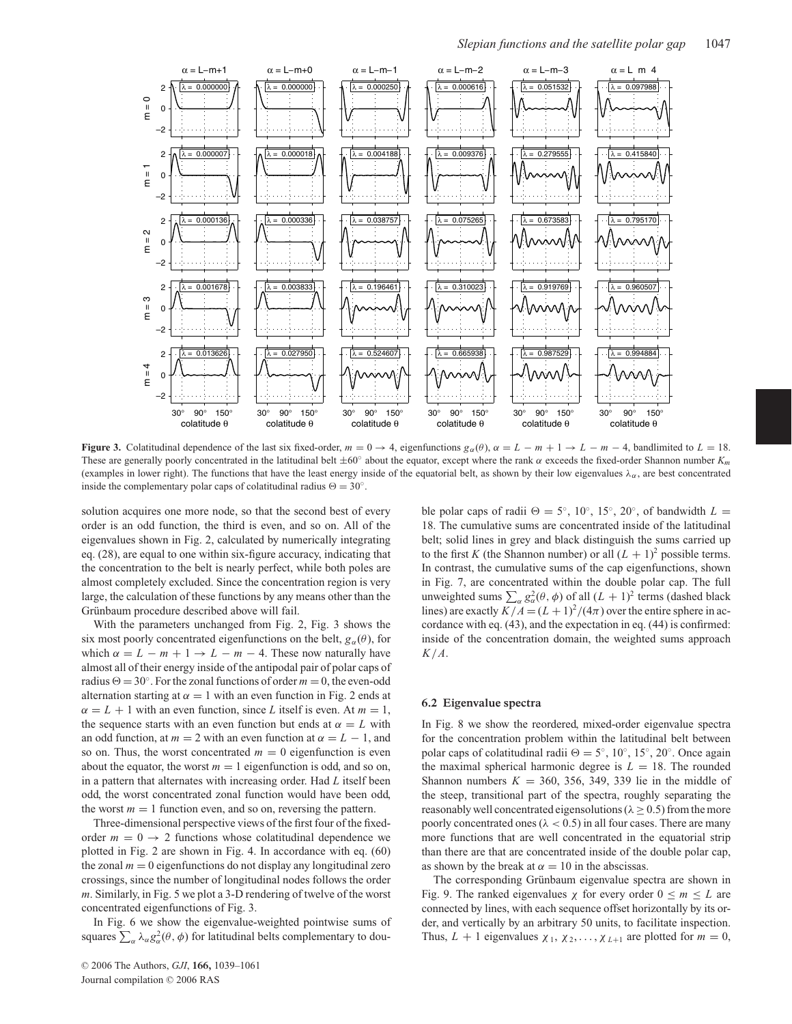

**Figure 3.** Colatitudinal dependence of the last six fixed-order,  $m = 0 \rightarrow 4$ , eigenfunctions  $g_{\alpha}(\theta)$ ,  $\alpha = L - m + 1 \rightarrow L - m - 4$ , bandlimited to  $L = 18$ . These are generally poorly concentrated in the latitudinal belt  $\pm 60^\circ$  about the equator, except where the rank  $\alpha$  exceeds the fixed-order Shannon number  $K_m$ (examples in lower right). The functions that have the least energy inside of the equatorial belt, as shown by their low eigenvalues  $\lambda_{\alpha}$ , are best concentrated inside the complementary polar caps of colatitudinal radius  $\Theta = 30^\circ$ .

solution acquires one more node, so that the second best of every order is an odd function, the third is even, and so on. All of the eigenvalues shown in Fig. 2, calculated by numerically integrating eq. (28), are equal to one within six-figure accuracy, indicating that the concentration to the belt is nearly perfect, while both poles are almost completely excluded. Since the concentration region is very large, the calculation of these functions by any means other than the Grünbaum procedure described above will fail.

With the parameters unchanged from Fig. 2, Fig. 3 shows the six most poorly concentrated eigenfunctions on the belt,  $g_\alpha(\theta)$ , for which  $\alpha = L - m + 1 \rightarrow L - m - 4$ . These now naturally have almost all of their energy inside of the antipodal pair of polar caps of radius  $\Theta = 30^\circ$ . For the zonal functions of order  $m = 0$ , the even-odd alternation starting at  $\alpha = 1$  with an even function in Fig. 2 ends at  $\alpha = L + 1$  with an even function, since *L* itself is even. At  $m = 1$ , the sequence starts with an even function but ends at  $\alpha = L$  with an odd function, at  $m = 2$  with an even function at  $\alpha = L - 1$ , and so on. Thus, the worst concentrated  $m = 0$  eigenfunction is even about the equator, the worst  $m = 1$  eigenfunction is odd, and so on, in a pattern that alternates with increasing order. Had *L* itself been odd, the worst concentrated zonal function would have been odd, the worst  $m = 1$  function even, and so on, reversing the pattern.

Three-dimensional perspective views of the first four of the fixedorder  $m = 0 \rightarrow 2$  functions whose colatitudinal dependence we plotted in Fig. 2 are shown in Fig. 4. In accordance with eq. (60) the zonal  $m = 0$  eigenfunctions do not display any longitudinal zero crossings, since the number of longitudinal nodes follows the order *m*. Similarly, in Fig. 5 we plot a 3-D rendering of twelve of the worst concentrated eigenfunctions of Fig. 3.

In Fig. 6 we show the eigenvalue-weighted pointwise sums of squares  $\sum_{\alpha} \lambda_{\alpha} g_{\alpha}^2(\theta, \phi)$  for latitudinal belts complementary to dou-

ble polar caps of radii  $\Theta = 5^\circ$ , 10°, 15°, 20°, of bandwidth  $L =$ 18. The cumulative sums are concentrated inside of the latitudinal belt; solid lines in grey and black distinguish the sums carried up to the first *K* (the Shannon number) or all  $(L + 1)^2$  possible terms. In contrast, the cumulative sums of the cap eigenfunctions, shown in Fig. 7, are concentrated within the double polar cap. The full unweighted sums  $\sum_{\alpha} g_{\alpha}^2(\theta, \phi)$  of all  $(L + 1)^2$  terms (dashed black lines) are exactly  $K/A = (L + 1)^2/(4\pi)$  over the entire sphere in accordance with eq. (43), and the expectation in eq. (44) is confirmed: inside of the concentration domain, the weighted sums approach *K*/*A*.

#### **6.2 Eigenvalue spectra**

In Fig. 8 we show the reordered, mixed-order eigenvalue spectra for the concentration problem within the latitudinal belt between polar caps of colatitudinal radii  $\Theta = 5^\circ$ , 10°, 15°, 20°. Once again the maximal spherical harmonic degree is  $L = 18$ . The rounded Shannon numbers  $K = 360, 356, 349, 339$  lie in the middle of the steep, transitional part of the spectra, roughly separating the reasonably well concentrated eigensolutions ( $\lambda \geq 0.5$ ) from the more poorly concentrated ones ( $\lambda < 0.5$ ) in all four cases. There are many more functions that are well concentrated in the equatorial strip than there are that are concentrated inside of the double polar cap, as shown by the break at  $\alpha = 10$  in the abscissas.

The corresponding Grünbaum eigenvalue spectra are shown in Fig. 9. The ranked eigenvalues  $\chi$  for every order  $0 \le m \le L$  are connected by lines, with each sequence offset horizontally by its order, and vertically by an arbitrary 50 units, to facilitate inspection. Thus,  $L + 1$  eigenvalues  $\chi_1, \chi_2, \ldots, \chi_{L+1}$  are plotted for  $m = 0$ ,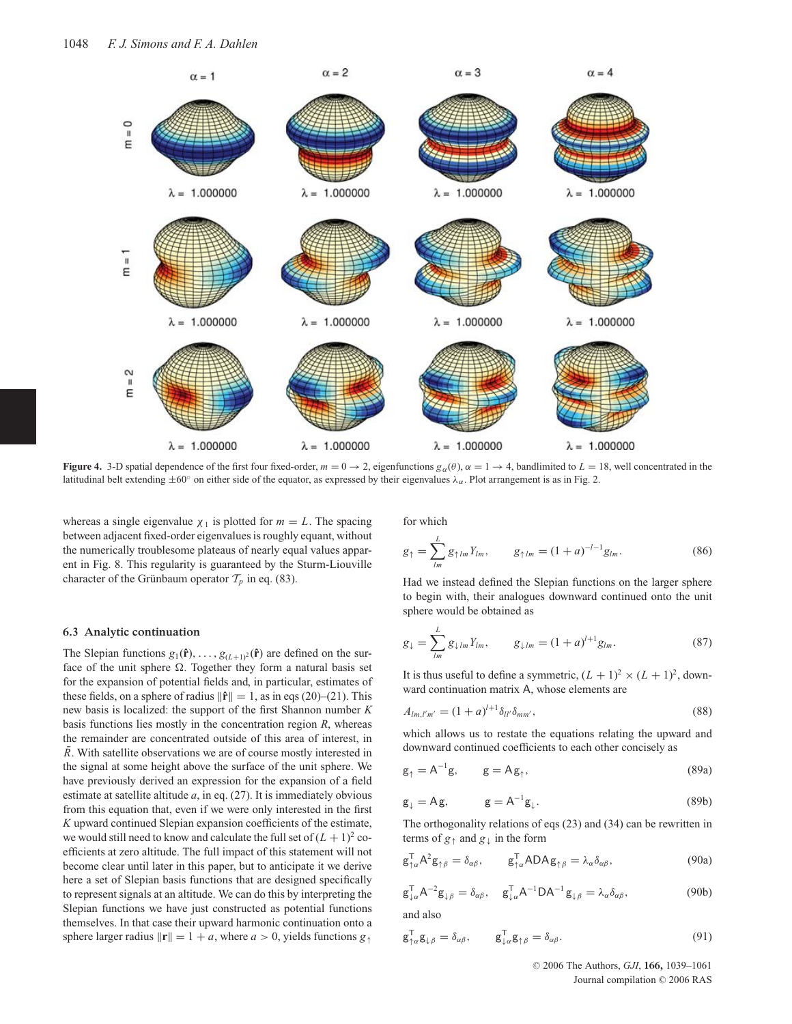

**Figure 4.** 3-D spatial dependence of the first four fixed-order,  $m = 0 \rightarrow 2$ , eigenfunctions  $g_\alpha(\theta)$ ,  $\alpha = 1 \rightarrow 4$ , bandlimited to  $L = 18$ , well concentrated in the latitudinal belt extending  $\pm 60^\circ$  on either side of the equator, as expressed by their eigenvalues  $\lambda_\alpha$ . Plot arrangement is as in Fig. 2.

whereas a single eigenvalue  $\chi_1$  is plotted for  $m = L$ . The spacing between adjacent fixed-order eigenvalues is roughly equant, without the numerically troublesome plateaus of nearly equal values apparent in Fig. 8. This regularity is guaranteed by the Sturm-Liouville character of the Grünbaum operator  $T_p$  in eq. (83).

## **6.3 Analytic continuation**

The Slepian functions  $g_1(\hat{\mathbf{r}}), \ldots, g_{(L+1)^2}(\hat{\mathbf{r}})$  are defined on the surface of the unit sphere  $\Omega$ . Together they form a natural basis set for the expansion of potential fields and, in particular, estimates of these fields, on a sphere of radius  $\|\hat{\mathbf{r}}\| = 1$ , as in eqs (20)–(21). This new basis is localized: the support of the first Shannon number *K* basis functions lies mostly in the concentration region *R*, whereas the remainder are concentrated outside of this area of interest, in  $\overline{R}$ . With satellite observations we are of course mostly interested in the signal at some height above the surface of the unit sphere. We have previously derived an expression for the expansion of a field estimate at satellite altitude  $a$ , in eq.  $(27)$ . It is immediately obvious from this equation that, even if we were only interested in the first *K* upward continued Slepian expansion coefficients of the estimate, we would still need to know and calculate the full set of  $(L + 1)^2$  coefficients at zero altitude. The full impact of this statement will not become clear until later in this paper, but to anticipate it we derive here a set of Slepian basis functions that are designed specifically to represent signals at an altitude. We can do this by interpreting the Slepian functions we have just constructed as potential functions themselves. In that case their upward harmonic continuation onto a sphere larger radius  $\|\mathbf{r}\| = 1 + a$ , where  $a > 0$ , yields functions  $g_{\uparrow}$ 

for which

$$
g_{\uparrow} = \sum_{lm}^{L} g_{\uparrow lm} Y_{lm}, \qquad g_{\uparrow lm} = (1+a)^{-l-1} g_{lm}.
$$
 (86)

Had we instead defined the Slepian functions on the larger sphere to begin with, their analogues downward continued onto the unit sphere would be obtained as

$$
g_{\downarrow} = \sum_{lm}^{L} g_{\downarrow lm} Y_{lm}, \qquad g_{\downarrow lm} = (1+a)^{l+1} g_{lm}.
$$
 (87)

It is thus useful to define a symmetric,  $(L + 1)^2 \times (L + 1)^2$ , downward continuation matrix A, whose elements are

$$
A_{lm,l'm'} = (1+a)^{l+1} \delta_{ll'} \delta_{mm'},
$$
\n(88)

which allows us to restate the equations relating the upward and downward continued coefficients to each other concisely as

$$
\mathbf{g}_{\uparrow} = \mathbf{A}^{-1} \mathbf{g}, \qquad \mathbf{g} = \mathbf{A} \mathbf{g}_{\uparrow}, \tag{89a}
$$

$$
g_{\downarrow} = Ag, \qquad g = A^{-1}g_{\downarrow}.
$$
 (89b)

The orthogonality relations of eqs (23) and (34) can be rewritten in terms of  $g_{\uparrow}$  and  $g_{\downarrow}$  in the form

$$
g_{\uparrow\alpha}^{\mathsf{T}} A^2 g_{\uparrow\beta} = \delta_{\alpha\beta}, \qquad g_{\uparrow\alpha}^{\mathsf{T}} \mathsf{ADA} g_{\uparrow\beta} = \lambda_{\alpha} \delta_{\alpha\beta}, \tag{90a}
$$

$$
\mathsf{g}_{\downarrow\alpha}^{\mathsf{T}} \mathsf{A}^{-2} \mathsf{g}_{\downarrow\beta} = \delta_{\alpha\beta}, \quad \mathsf{g}_{\downarrow\alpha}^{\mathsf{T}} \mathsf{A}^{-1} \mathsf{D} \mathsf{A}^{-1} \mathsf{g}_{\downarrow\beta} = \lambda_{\alpha} \delta_{\alpha\beta}, \tag{90b}
$$

and also

$$
\mathsf{g}_{\uparrow\alpha}^{\mathsf{T}}\mathsf{g}_{\downarrow\beta}=\delta_{\alpha\beta},\qquad \mathsf{g}_{\downarrow\alpha}^{\mathsf{T}}\mathsf{g}_{\uparrow\beta}=\delta_{\alpha\beta}.\tag{91}
$$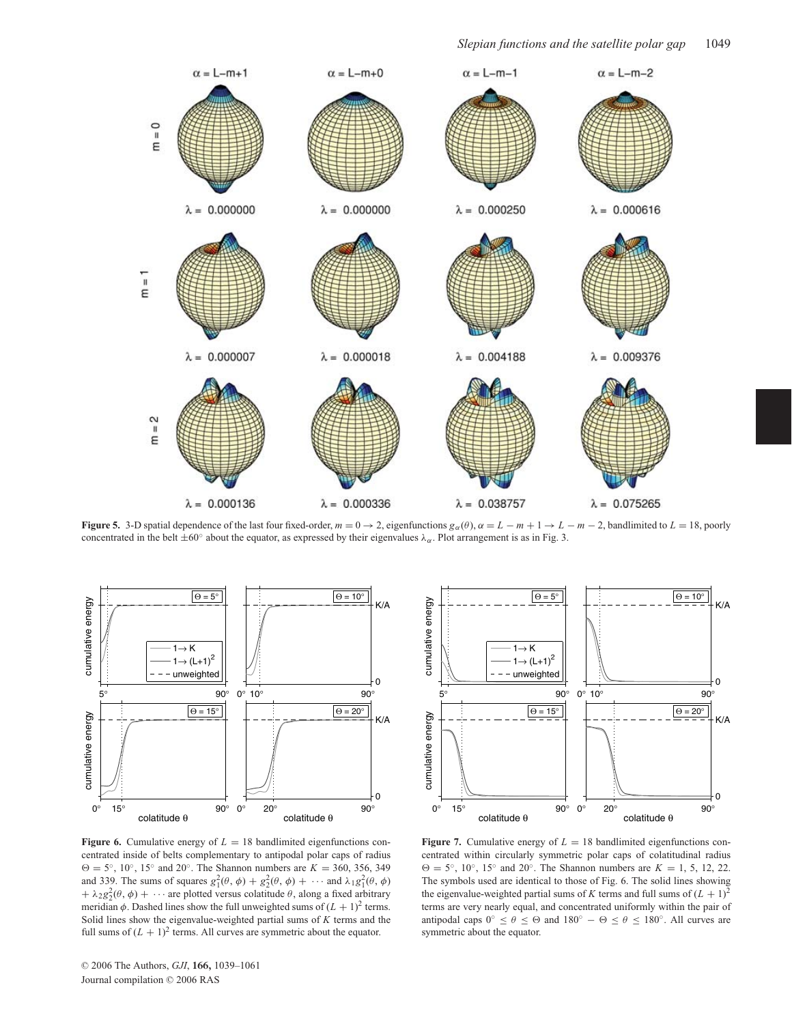

**Figure 5.** 3-D spatial dependence of the last four fixed-order,  $m = 0 \rightarrow 2$ , eigenfunctions  $g_\alpha(\theta)$ ,  $\alpha = L - m + 1 \rightarrow L - m - 2$ , bandlimited to  $L = 18$ , poorly concentrated in the belt  $\pm 60^\circ$  about the equator, as expressed by their eigenvalues  $\lambda_\alpha$ . Plot arrangement is as in Fig. 3.



**Figure 6.** Cumulative energy of  $L = 18$  bandlimited eigenfunctions concentrated inside of belts complementary to antipodal polar caps of radius  $\Theta = 5^{\circ}$ , 10°, 15° and 20°. The Shannon numbers are  $K = 360, 356, 349$ and 339. The sums of squares  $g_1^2(\theta, \phi) + g_2^2(\theta, \phi) + \cdots$  and  $\lambda_1 g_1^2(\theta, \phi)$  $+ \lambda_2 g_2^2(\theta, \phi) + \cdots$  are plotted versus colatitude  $\theta$ , along a fixed arbitrary meridian  $\phi$ . Dashed lines show the full unweighted sums of  $(L + 1)^2$  terms. Solid lines show the eigenvalue-weighted partial sums of *K* terms and the full sums of  $(L + 1)^2$  terms. All curves are symmetric about the equator.



**Figure 7.** Cumulative energy of  $L = 18$  bandlimited eigenfunctions concentrated within circularly symmetric polar caps of colatitudinal radius  $\Theta = 5^{\circ}$ , 10°, 15° and 20°. The Shannon numbers are  $K = 1, 5, 12, 22$ . The symbols used are identical to those of Fig. 6. The solid lines showing the eigenvalue-weighted partial sums of *K* terms and full sums of  $(L + 1)^2$ terms are very nearly equal, and concentrated uniformly within the pair of antipodal caps  $0^\circ \le \theta \le \Theta$  and  $180^\circ - \Theta \le \theta \le 180^\circ$ . All curves are symmetric about the equator.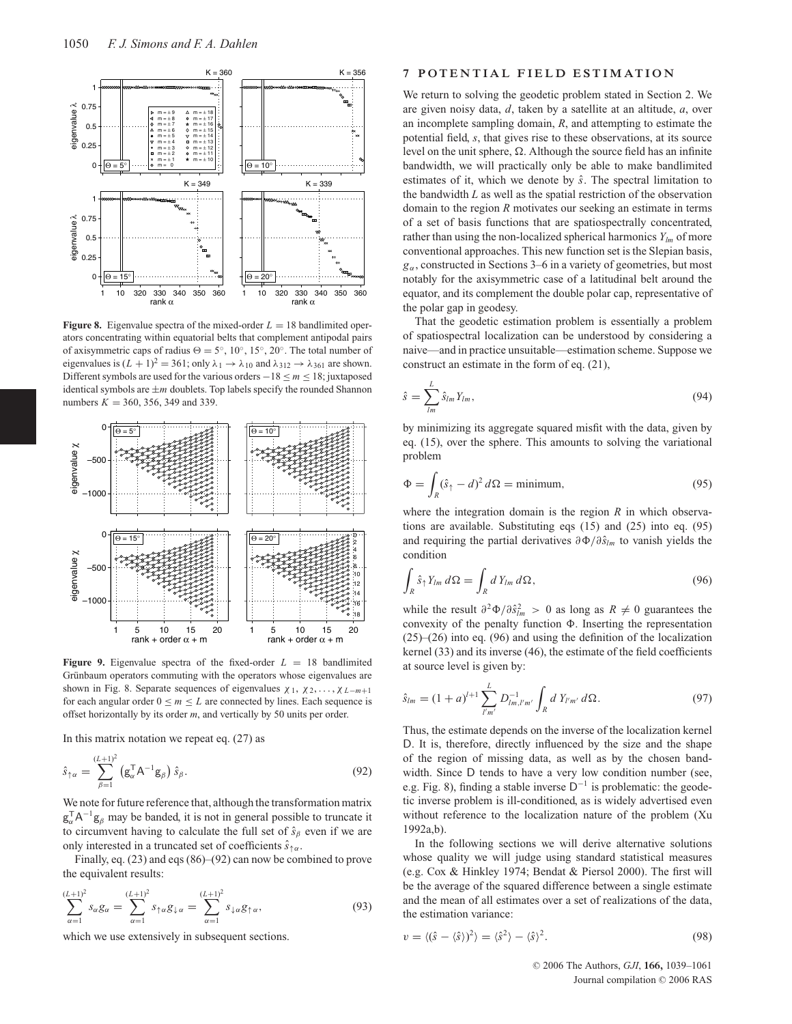

**Figure 8.** Eigenvalue spectra of the mixed-order  $L = 18$  bandlimited operators concentrating within equatorial belts that complement antipodal pairs of axisymmetric caps of radius  $\Theta = 5^{\circ}$ , 10 $^{\circ}$ , 15 $^{\circ}$ , 20 $^{\circ}$ . The total number of eigenvalues is  $(L + 1)^2 = 361$ ; only  $\lambda_1 \rightarrow \lambda_{10}$  and  $\lambda_{312} \rightarrow \lambda_{361}$  are shown. Different symbols are used for the various orders −18 ≤ *m* ≤ 18; juxtaposed identical symbols are  $\pm m$  doublets. Top labels specify the rounded Shannon numbers  $K = 360, 356, 349$  and 339.



**Figure 9.** Eigenvalue spectra of the fixed-order  $L = 18$  bandlimited Grünbaum operators commuting with the operators whose eigenvalues are shown in Fig. 8. Separate sequences of eigenvalues  $\chi_1, \chi_2, \ldots, \chi_{L-m+1}$ for each angular order  $0 \le m \le L$  are connected by lines. Each sequence is offset horizontally by its order *m*, and vertically by 50 units per order.

In this matrix notation we repeat eq. (27) as

$$
\hat{s}_{\uparrow\alpha} = \sum_{\beta=1}^{(L+1)^2} \left( \mathbf{g}_{\alpha}^{\mathsf{T}} \mathsf{A}^{-1} \mathbf{g}_{\beta} \right) \hat{s}_{\beta}.
$$
\n(92)

We note for future reference that, although the transformation matrix  $g_{\alpha}^{\dagger} A^{-1} g_{\beta}$  may be banded, it is not in general possible to truncate it to circumvent having to calculate the full set of  $\hat{s}_{\beta}$  even if we are only interested in a truncated set of coefficients  $\hat{s}_{\uparrow\alpha}$ .

Finally, eq. (23) and eqs (86)–(92) can now be combined to prove the equivalent results:

$$
\sum_{\alpha=1}^{(L+1)^2} s_{\alpha} g_{\alpha} = \sum_{\alpha=1}^{(L+1)^2} s_{\uparrow \alpha} g_{\downarrow \alpha} = \sum_{\alpha=1}^{(L+1)^2} s_{\downarrow \alpha} g_{\uparrow \alpha}, \tag{93}
$$

which we use extensively in subsequent sections.

## **7 POTENTIAL FIELD ESTIMATION**

We return to solving the geodetic problem stated in Section 2. We are given noisy data, *d*, taken by a satellite at an altitude, *a*, over an incomplete sampling domain, *R*, and attempting to estimate the potential field, *s*, that gives rise to these observations, at its source level on the unit sphere,  $\Omega$ . Although the source field has an infinite bandwidth, we will practically only be able to make bandlimited estimates of it, which we denote by *s*ˆ. The spectral limitation to the bandwidth *L* as well as the spatial restriction of the observation domain to the region *R* motivates our seeking an estimate in terms of a set of basis functions that are spatiospectrally concentrated, rather than using the non-localized spherical harmonics  $Y_{lm}$  of more conventional approaches. This new function set is the Slepian basis, *g*α, constructed in Sections 3–6 in a variety of geometries, but most notably for the axisymmetric case of a latitudinal belt around the equator, and its complement the double polar cap, representative of the polar gap in geodesy.

That the geodetic estimation problem is essentially a problem of spatiospectral localization can be understood by considering a naive—and in practice unsuitable—estimation scheme. Suppose we construct an estimate in the form of eq. (21),

$$
\hat{s} = \sum_{lm}^{L} \hat{s}_{lm} Y_{lm},\tag{94}
$$

by minimizing its aggregate squared misfit with the data, given by eq. (15), over the sphere. This amounts to solving the variational problem

$$
\Phi = \int_{R} (\hat{s}_{\uparrow} - d)^2 d\Omega = \text{minimum},\tag{95}
$$

where the integration domain is the region *R* in which observations are available. Substituting eqs (15) and (25) into eq. (95) and requiring the partial derivatives  $\partial \Phi / \partial \hat{s}_{lm}$  to vanish yields the condition

$$
\int_{R} \hat{s}_{\uparrow} Y_{lm} d\Omega = \int_{R} d Y_{lm} d\Omega, \qquad (96)
$$

while the result  $\partial^2 \Phi / \partial \hat{s}_{lm}^2 > 0$  as long as  $R \neq 0$  guarantees the convexity of the penalty function  $\Phi$ . Inserting the representation (25)–(26) into eq. (96) and using the definition of the localization kernel (33) and its inverse (46), the estimate of the field coefficients at source level is given by:

$$
\hat{s}_{lm} = (1+a)^{l+1} \sum_{l'm'}^{L} D^{-1}_{lm,l'm'} \int_{R} dY_{l'm'} d\Omega.
$$
 (97)

Thus, the estimate depends on the inverse of the localization kernel D. It is, therefore, directly influenced by the size and the shape of the region of missing data, as well as by the chosen bandwidth. Since D tends to have a very low condition number (see, e.g. Fig. 8), finding a stable inverse  $D^{-1}$  is problematic: the geodetic inverse problem is ill-conditioned, as is widely advertised even without reference to the localization nature of the problem (Xu 1992a,b).

In the following sections we will derive alternative solutions whose quality we will judge using standard statistical measures (e.g. Cox & Hinkley 1974; Bendat & Piersol 2000). The first will be the average of the squared difference between a single estimate and the mean of all estimates over a set of realizations of the data, the estimation variance:

$$
v = \langle (\hat{s} - \langle \hat{s} \rangle)^2 \rangle = \langle \hat{s}^2 \rangle - \langle \hat{s} \rangle^2. \tag{98}
$$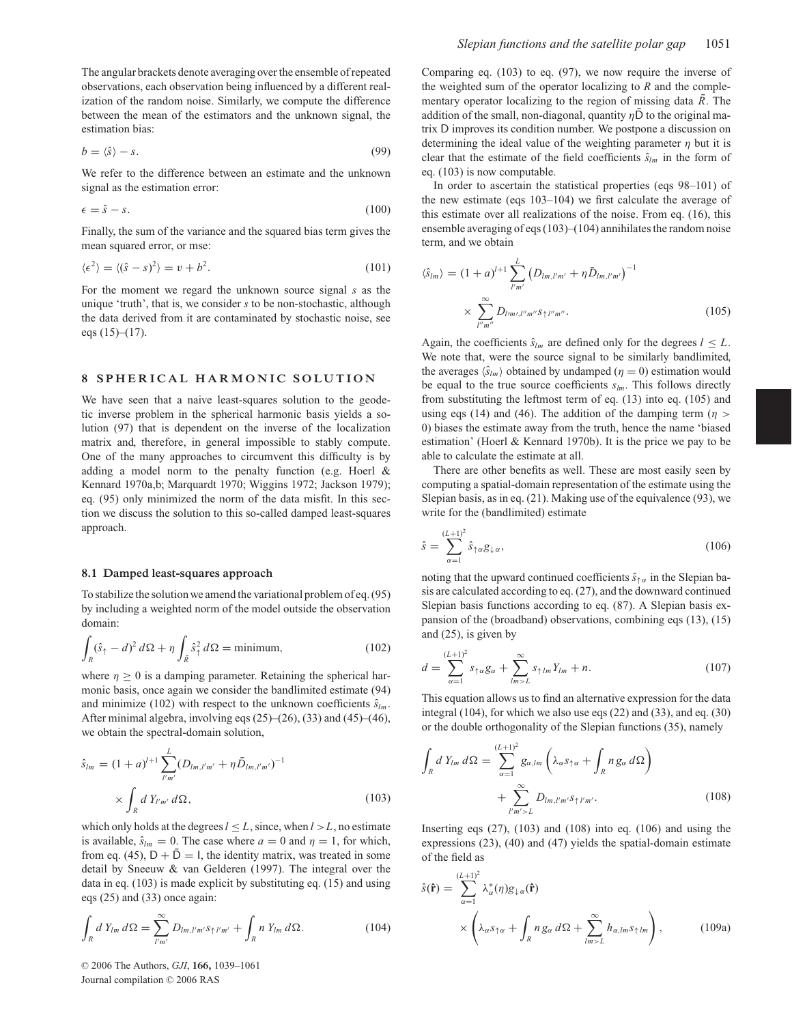The angular brackets denote averaging over the ensemble of repeated observations, each observation being influenced by a different realization of the random noise. Similarly, we compute the difference between the mean of the estimators and the unknown signal, the estimation bias:

$$
b = \langle \hat{s} \rangle - s. \tag{99}
$$

We refer to the difference between an estimate and the unknown signal as the estimation error:

$$
\epsilon = \hat{s} - s. \tag{100}
$$

Finally, the sum of the variance and the squared bias term gives the mean squared error, or mse:

$$
\langle \epsilon^2 \rangle = \langle (\hat{s} - s)^2 \rangle = v + b^2. \tag{101}
$$

For the moment we regard the unknown source signal *s* as the unique 'truth', that is, we consider *s* to be non-stochastic, although the data derived from it are contaminated by stochastic noise, see eqs (15)–(17).

#### **8 SPHERICAL HARMONIC SOLUTION**

We have seen that a naive least-squares solution to the geodetic inverse problem in the spherical harmonic basis yields a solution (97) that is dependent on the inverse of the localization matrix and, therefore, in general impossible to stably compute. One of the many approaches to circumvent this difficulty is by adding a model norm to the penalty function (e.g. Hoerl & Kennard 1970a,b; Marquardt 1970; Wiggins 1972; Jackson 1979); eq. (95) only minimized the norm of the data misfit. In this section we discuss the solution to this so-called damped least-squares approach.

## **8.1 Damped least-squares approach**

To stabilize the solution we amend the variational problem of eq. (95) by including a weighted norm of the model outside the observation domain:

$$
\int_{R} (\hat{s}_{\uparrow} - d)^2 d\Omega + \eta \int_{\bar{R}} \hat{s}_{\uparrow}^2 d\Omega = \text{minimum},
$$
\n(102)

where  $\eta \geq 0$  is a damping parameter. Retaining the spherical harmonic basis, once again we consider the bandlimited estimate (94) and minimize (102) with respect to the unknown coefficients  $\hat{s}_{lm}$ . After minimal algebra, involving eqs (25)–(26), (33) and (45)–(46), we obtain the spectral-domain solution,

$$
\hat{s}_{lm} = (1+a)^{l+1} \sum_{l'm'}^{L} (D_{lm,l'm'} + \eta \bar{D}_{lm,l'm'})^{-1}
$$

$$
\times \int_{R} d Y_{l'm'} d\Omega,
$$
\n(103)

which only holds at the degrees  $l \leq L$ , since, when  $l > L$ , no estimate is available,  $\hat{s}_{lm} = 0$ . The case where  $a = 0$  and  $\eta = 1$ , for which, from eq. (45),  $D + \bar{D} = I$ , the identity matrix, was treated in some detail by Sneeuw & van Gelderen (1997). The integral over the data in eq. (103) is made explicit by substituting eq. (15) and using eqs (25) and (33) once again:

$$
\int_{R} d Y_{lm} d\Omega = \sum_{l'm'}^{\infty} D_{lm,l'm'} s_{\uparrow l'm'} + \int_{R} n Y_{lm} d\Omega.
$$
 (104)

<sup>C</sup> 2006 The Authors, *GJI*, **166,** 1039–1061 Journal compilation  $©$  2006 RAS

Comparing eq. (103) to eq. (97), we now require the inverse of the weighted sum of the operator localizing to *R* and the complementary operator localizing to the region of missing data  $\overline{R}$ . The addition of the small, non-diagonal, quantity  $\eta D$  to the original matrix D improves its condition number. We postpone a discussion on determining the ideal value of the weighting parameter  $\eta$  but it is clear that the estimate of the field coefficients  $\hat{s}_{lm}$  in the form of eq. (103) is now computable.

In order to ascertain the statistical properties (eqs 98–101) of the new estimate (eqs 103–104) we first calculate the average of this estimate over all realizations of the noise. From eq. (16), this ensemble averaging of eqs (103)–(104) annihilates the random noise term, and we obtain

$$
\langle \hat{s}_{lm} \rangle = (1+a)^{l+1} \sum_{l'm'}^{L} \left( D_{lm,l'm'} + \eta \bar{D}_{lm,l'm'} \right)^{-1}
$$

$$
\times \sum_{l''m''}^{\infty} D_{lm'l''m''} s_{\uparrow l''m''}. \tag{105}
$$

Again, the coefficients  $\hat{s}_{lm}$  are defined only for the degrees  $l \leq L$ . We note that, were the source signal to be similarly bandlimited, the averages  $\langle \hat{s}_{lm} \rangle$  obtained by undamped ( $\eta = 0$ ) estimation would be equal to the true source coefficients *slm*. This follows directly from substituting the leftmost term of eq. (13) into eq. (105) and using eqs (14) and (46). The addition of the damping term ( $\eta$  > 0) biases the estimate away from the truth, hence the name 'biased estimation' (Hoerl & Kennard 1970b). It is the price we pay to be able to calculate the estimate at all.

There are other benefits as well. These are most easily seen by computing a spatial-domain representation of the estimate using the Slepian basis, as in eq. (21). Making use of the equivalence (93), we write for the (bandlimited) estimate

$$
\hat{s} = \sum_{\alpha=1}^{(L+1)^2} \hat{s}_{\uparrow \alpha} g_{\downarrow \alpha},\tag{106}
$$

noting that the upward continued coefficients  $\hat{s}_{\uparrow\alpha}$  in the Slepian basis are calculated according to eq. (27), and the downward continued Slepian basis functions according to eq. (87). A Slepian basis expansion of the (broadband) observations, combining eqs (13), (15) and (25), is given by

$$
d = \sum_{\alpha=1}^{(L+1)^2} s_{\uparrow \alpha} g_{\alpha} + \sum_{lm>L}^{\infty} s_{\uparrow lm} Y_{lm} + n.
$$
 (107)

This equation allows us to find an alternative expression for the data integral (104), for which we also use eqs (22) and (33), and eq. (30) or the double orthogonality of the Slepian functions (35), namely

$$
\int_{R} d Y_{lm} d\Omega = \sum_{\alpha=1}^{(L+1)^2} g_{\alpha,lm} \left( \lambda_{\alpha} s_{\uparrow \alpha} + \int_{R} n g_{\alpha} d\Omega \right) + \sum_{l'm'>L}^{\infty} D_{lm,l'm'} s_{\uparrow l'm'}.
$$
\n(108)

Inserting eqs  $(27)$ ,  $(103)$  and  $(108)$  into eq.  $(106)$  and using the expressions (23), (40) and (47) yields the spatial-domain estimate of the field as

$$
\hat{s}(\hat{\mathbf{r}}) = \sum_{\alpha=1}^{(L+1)^2} \lambda_{\alpha}^*(\eta) g_{\downarrow \alpha}(\hat{\mathbf{r}})
$$
  
 
$$
\times \left( \lambda_{\alpha} s_{\uparrow \alpha} + \int_R n g_{\alpha} d\Omega + \sum_{lm>L}^{\infty} h_{\alpha,lm} s_{\uparrow lm} \right), \qquad (109a)
$$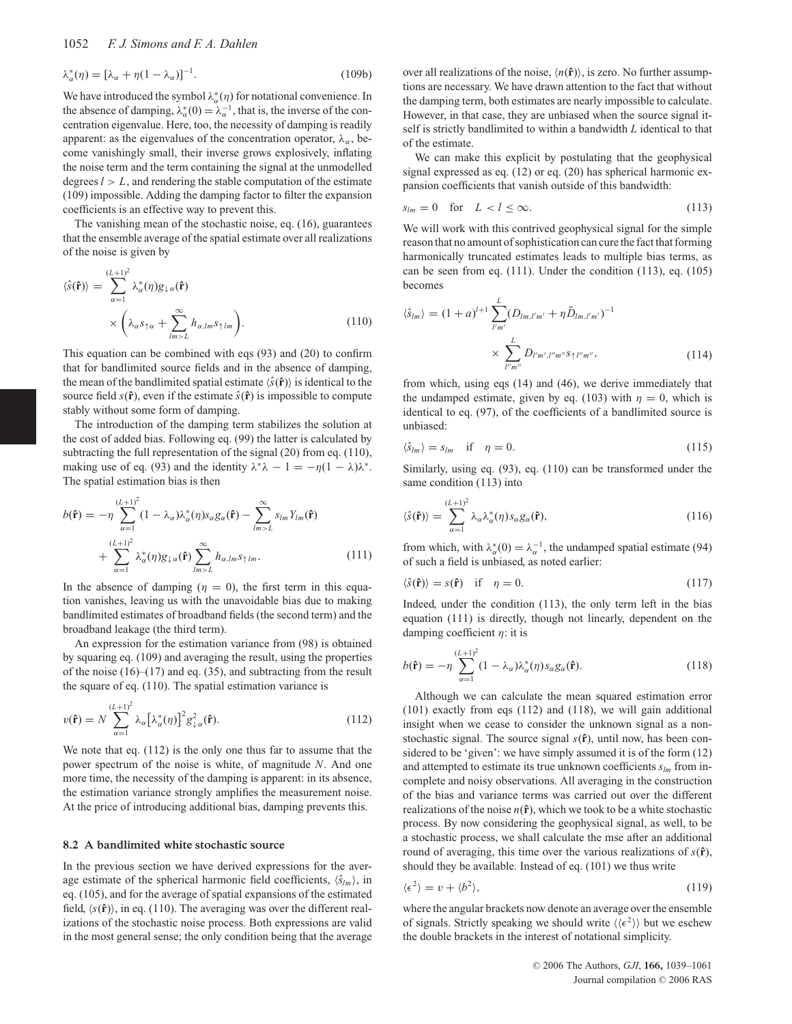$$
\lambda_{\alpha}^*(\eta) = [\lambda_{\alpha} + \eta(1 - \lambda_{\alpha})]^{-1}.
$$
\n(109b)

We have introduced the symbol  $\lambda_{\alpha}^{*}(\eta)$  for notational convenience. In the absence of damping,  $\lambda_{\alpha}^*(0) = \lambda_{\alpha}^{-1}$ , that is, the inverse of the concentration eigenvalue. Here, too, the necessity of damping is readily apparent: as the eigenvalues of the concentration operator,  $\lambda_{\alpha}$ , become vanishingly small, their inverse grows explosively, inflating the noise term and the term containing the signal at the unmodelled degrees  $l > L$ , and rendering the stable computation of the estimate (109) impossible. Adding the damping factor to filter the expansion coefficients is an effective way to prevent this.

The vanishing mean of the stochastic noise, eq. (16), guarantees that the ensemble average of the spatial estimate over all realizations of the noise is given by

$$
\langle \hat{s}(\hat{\mathbf{r}}) \rangle = \sum_{\alpha=1}^{(L+1)^2} \lambda_{\alpha}^*(\eta) g_{\downarrow \alpha}(\hat{\mathbf{r}})
$$

$$
\times \left( \lambda_{\alpha} s_{\uparrow \alpha} + \sum_{lm>L}^{\infty} h_{\alpha,lm} s_{\uparrow lm} \right). \tag{110}
$$

This equation can be combined with eqs (93) and (20) to confirm that for bandlimited source fields and in the absence of damping, the mean of the bandlimited spatial estimate  $\langle \hat{s}(\hat{\bf{r}}) \rangle$  is identical to the source field  $s(\hat{\mathbf{r}})$ , even if the estimate  $\hat{s}(\hat{\mathbf{r}})$  is impossible to compute stably without some form of damping.

The introduction of the damping term stabilizes the solution at the cost of added bias. Following eq. (99) the latter is calculated by subtracting the full representation of the signal (20) from eq. (110), making use of eq. (93) and the identity  $\lambda^* \lambda - 1 = -\eta(1 - \lambda)\lambda^*$ . The spatial estimation bias is then

$$
b(\hat{\mathbf{r}}) = -\eta \sum_{\alpha=1}^{(L+1)^2} (1 - \lambda_{\alpha}) \lambda_{\alpha}^*(\eta) s_{\alpha} g_{\alpha}(\hat{\mathbf{r}}) - \sum_{lm>L}^{\infty} s_{lm} Y_{lm}(\hat{\mathbf{r}})
$$
  
+ 
$$
\sum_{\alpha=1}^{(L+1)^2} \lambda_{\alpha}^*(\eta) g_{\downarrow \alpha}(\hat{\mathbf{r}}) \sum_{lm>L}^{\infty} h_{\alpha,lm} s_{\uparrow lm}.
$$
 (111)

In the absence of damping  $(\eta = 0)$ , the first term in this equation vanishes, leaving us with the unavoidable bias due to making bandlimited estimates of broadband fields (the second term) and the broadband leakage (the third term).

An expression for the estimation variance from (98) is obtained by squaring eq. (109) and averaging the result, using the properties of the noise  $(16)$ – $(17)$  and eq.  $(35)$ , and subtracting from the result the square of eq. (110). The spatial estimation variance is

$$
v(\hat{\mathbf{r}}) = N \sum_{\alpha=1}^{(L+1)^2} \lambda_{\alpha} [\lambda_{\alpha}^*(\eta)]^2 g_{\downarrow \alpha}^2(\hat{\mathbf{r}}). \tag{112}
$$

We note that eq. (112) is the only one thus far to assume that the power spectrum of the noise is white, of magnitude *N*. And one more time, the necessity of the damping is apparent: in its absence, the estimation variance strongly amplifies the measurement noise. At the price of introducing additional bias, damping prevents this.

## **8.2 A bandlimited white stochastic source**

In the previous section we have derived expressions for the average estimate of the spherical harmonic field coefficients,  $\langle \hat{s}_{lm} \rangle$ , in eq. (105), and for the average of spatial expansions of the estimated field,  $\langle s(\hat{\mathbf{r}}) \rangle$ , in eq. (110). The averaging was over the different realizations of the stochastic noise process. Both expressions are valid in the most general sense; the only condition being that the average

over all realizations of the noise,  $\langle n(\hat{\bf{r}}) \rangle$ , is zero. No further assumptions are necessary. We have drawn attention to the fact that without the damping term, both estimates are nearly impossible to calculate. However, in that case, they are unbiased when the source signal itself is strictly bandlimited to within a bandwidth *L* identical to that of the estimate.

We can make this explicit by postulating that the geophysical signal expressed as eq. (12) or eq. (20) has spherical harmonic expansion coefficients that vanish outside of this bandwidth:

$$
s_{lm} = 0 \quad \text{for} \quad L < l \leq \infty. \tag{113}
$$

We will work with this contrived geophysical signal for the simple reason that no amount of sophistication can cure the fact that forming harmonically truncated estimates leads to multiple bias terms, as can be seen from eq. (111). Under the condition (113), eq. (105) becomes

$$
\langle \hat{s}_{lm} \rangle = (1+a)^{l+1} \sum_{l'm'}^{L} (D_{lm,l'm'} + \eta \bar{D}_{lm,l'm'})^{-1}
$$

$$
\times \sum_{l''m''}^{L} D_{l'm',l''m''} s_{\uparrow l''m''}, \tag{114}
$$

from which, using eqs (14) and (46), we derive immediately that the undamped estimate, given by eq. (103) with  $\eta = 0$ , which is identical to eq. (97), of the coefficients of a bandlimited source is unbiased:

$$
\langle \hat{s}_{lm} \rangle = s_{lm} \quad \text{if} \quad \eta = 0. \tag{115}
$$

Similarly, using eq. (93), eq. (110) can be transformed under the same condition (113) into

$$
\langle \hat{s}(\hat{\mathbf{r}}) \rangle = \sum_{\alpha=1}^{(L+1)^2} \lambda_{\alpha} \lambda_{\alpha}^*(\eta) s_{\alpha} g_{\alpha}(\hat{\mathbf{r}}), \tag{116}
$$

from which, with  $\lambda_{\alpha}^{*}(0) = \lambda_{\alpha}^{-1}$ , the undamped spatial estimate (94) of such a field is unbiased, as noted earlier:

$$
\langle \hat{s}(\hat{\mathbf{r}}) \rangle = s(\hat{\mathbf{r}}) \quad \text{if} \quad \eta = 0. \tag{117}
$$

Indeed, under the condition (113), the only term left in the bias equation (111) is directly, though not linearly, dependent on the damping coefficient  $\eta$ : it is

$$
b(\hat{\mathbf{r}}) = -\eta \sum_{\alpha=1}^{(L+1)^2} (1 - \lambda_\alpha) \lambda_\alpha^*(\eta) s_\alpha g_\alpha(\hat{\mathbf{r}}).
$$
 (118)

Although we can calculate the mean squared estimation error (101) exactly from eqs (112) and (118), we will gain additional insight when we cease to consider the unknown signal as a nonstochastic signal. The source signal *s*(**rˆ**), until now, has been considered to be 'given': we have simply assumed it is of the form (12) and attempted to estimate its true unknown coefficients *slm* from incomplete and noisy observations. All averaging in the construction of the bias and variance terms was carried out over the different realizations of the noise  $n(\hat{\mathbf{r}})$ , which we took to be a white stochastic process. By now considering the geophysical signal, as well, to be a stochastic process, we shall calculate the mse after an additional round of averaging, this time over the various realizations of  $s(\hat{r})$ , should they be available. Instead of eq. (101) we thus write

$$
\langle \epsilon^2 \rangle = v + \langle b^2 \rangle,\tag{119}
$$

where the angular brackets now denote an average over the ensemble of signals. Strictly speaking we should write  $\langle \langle \epsilon^2 \rangle \rangle$  but we eschew the double brackets in the interest of notational simplicity.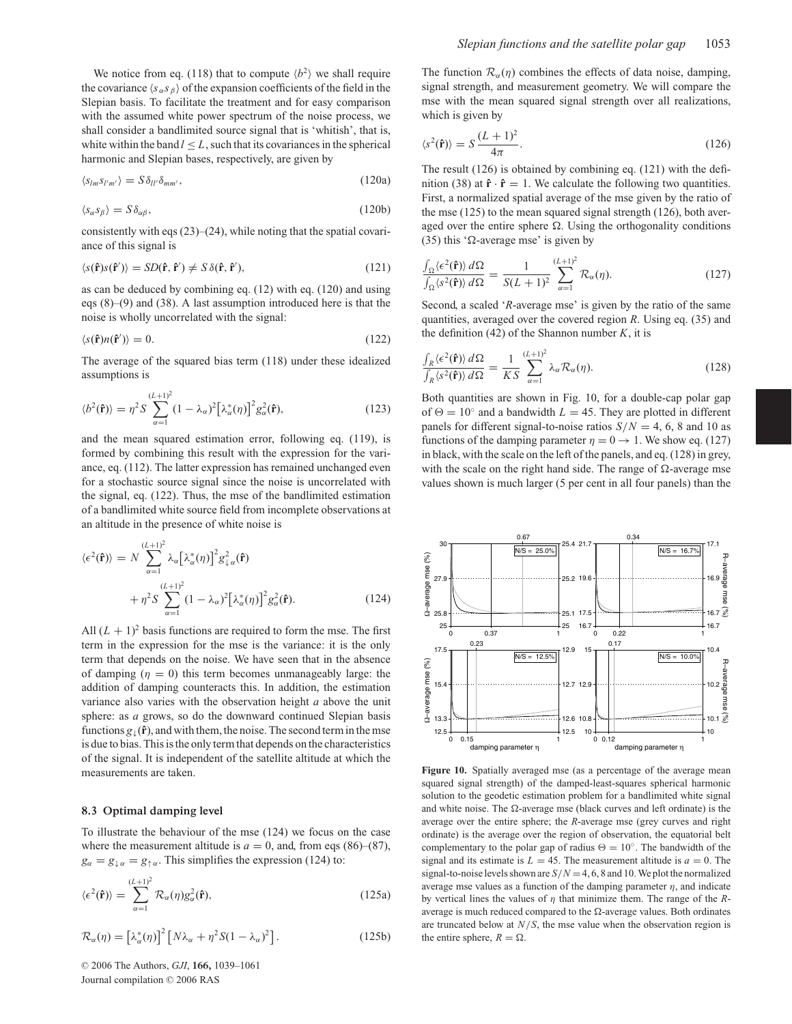We notice from eq. (118) that to compute  $\langle b^2 \rangle$  we shall require the covariance  $\langle s_{\alpha}s_{\beta} \rangle$  of the expansion coefficients of the field in the Slepian basis. To facilitate the treatment and for easy comparison with the assumed white power spectrum of the noise process, we shall consider a bandlimited source signal that is 'whitish', that is, white within the band  $l \leq L$ , such that its covariances in the spherical harmonic and Slepian bases, respectively, are given by

$$
\langle s_{lm} s_{l'm'} \rangle = S \delta_{ll'} \delta_{mm'}, \tag{120a}
$$

$$
\langle s_{\alpha}s_{\beta}\rangle = S\delta_{\alpha\beta},\tag{120b}
$$

consistently with eqs  $(23)$ – $(24)$ , while noting that the spatial covariance of this signal is

$$
\langle s(\mathbf{\hat{r}})s(\mathbf{\hat{r}}')\rangle = SD(\mathbf{\hat{r}}, \mathbf{\hat{r}}') \neq S \delta(\mathbf{\hat{r}}, \mathbf{\hat{r}}'),\tag{121}
$$

as can be deduced by combining eq. (12) with eq. (120) and using eqs (8)–(9) and (38). A last assumption introduced here is that the noise is wholly uncorrelated with the signal:

$$
\langle s(\hat{\mathbf{r}})n(\hat{\mathbf{r}}')\rangle = 0.
$$
 (122)

The average of the squared bias term (118) under these idealized assumptions is

$$
\langle b^2(\mathbf{\hat{r}}) \rangle = \eta^2 S \sum_{\alpha=1}^{(L+1)^2} (1 - \lambda_\alpha)^2 \left[ \lambda_\alpha^*(\eta) \right]^2 g_\alpha^2(\mathbf{\hat{r}}), \tag{123}
$$

and the mean squared estimation error, following eq. (119), is formed by combining this result with the expression for the variance, eq. (112). The latter expression has remained unchanged even for a stochastic source signal since the noise is uncorrelated with the signal, eq. (122). Thus, the mse of the bandlimited estimation of a bandlimited white source field from incomplete observations at an altitude in the presence of white noise is

$$
\langle \epsilon^2(\mathbf{\hat{r}}) \rangle = N \sum_{\alpha=1}^{(L+1)^2} \lambda_{\alpha} [\lambda_{\alpha}^*(\eta)]^2 g_{\downarrow \alpha}^2(\mathbf{\hat{r}})
$$
  
+ 
$$
\eta^2 S \sum_{\alpha=1}^{(L+1)^2} (1 - \lambda_{\alpha})^2 [\lambda_{\alpha}^*(\eta)]^2 g_{\alpha}^2(\mathbf{\hat{r}}).
$$
 (124)

All  $(L + 1)^2$  basis functions are required to form the mse. The first term in the expression for the mse is the variance: it is the only term that depends on the noise. We have seen that in the absence of damping  $(\eta = 0)$  this term becomes unmanageably large: the addition of damping counteracts this. In addition, the estimation variance also varies with the observation height *a* above the unit sphere: as *a* grows, so do the downward continued Slepian basis functions  $g_{\perp}(\hat{\mathbf{r}})$ , and with them, the noise. The second term in the mse is due to bias. This is the only term that depends on the characteristics of the signal. It is independent of the satellite altitude at which the measurements are taken.

## **8.3 Optimal damping level**

To illustrate the behaviour of the mse (124) we focus on the case where the measurement altitude is  $a = 0$ , and, from eqs (86)–(87),  $g_{\alpha} = g_{\alpha} = g_{\alpha}$ . This simplifies the expression (124) to:

$$
\langle \epsilon^2(\mathbf{\hat{r}}) \rangle = \sum_{\alpha=1}^{(L+1)^2} \mathcal{R}_{\alpha}(\eta) g_{\alpha}^2(\mathbf{\hat{r}}), \tag{125a}
$$

$$
\mathcal{R}_{\alpha}(\eta) = \left[\lambda_{\alpha}^{*}(\eta)\right]^{2} \left[N\lambda_{\alpha} + \eta^{2} S(1 - \lambda_{\alpha})^{2}\right].
$$
 (125b)

The function  $\mathcal{R}_{\alpha}(\eta)$  combines the effects of data noise, damping, signal strength, and measurement geometry. We will compare the mse with the mean squared signal strength over all realizations, which is given by

$$
\langle s^2(\mathbf{\hat{r}}) \rangle = S \frac{(L+1)^2}{4\pi}.
$$
 (126)

The result (126) is obtained by combining eq. (121) with the definition (38) at  $\hat{\mathbf{r}} \cdot \hat{\mathbf{r}} = 1$ . We calculate the following two quantities. First, a normalized spatial average of the mse given by the ratio of the mse (125) to the mean squared signal strength (126), both averaged over the entire sphere  $\Omega$ . Using the orthogonality conditions (35) this ' $\Omega$ -average mse' is given by

$$
\frac{\int_{\Omega} \langle \epsilon^2(\hat{\mathbf{r}}) \rangle d\Omega}{\int_{\Omega} \langle s^2(\hat{\mathbf{r}}) \rangle d\Omega} = \frac{1}{S(L+1)^2} \sum_{\alpha=1}^{(L+1)^2} \mathcal{R}_{\alpha}(\eta). \tag{127}
$$

Second, a scaled '*R*-average mse' is given by the ratio of the same quantities, averaged over the covered region *R*. Using eq. (35) and the definition  $(42)$  of the Shannon number  $K$ , it is

$$
\frac{\int_{R} \langle \epsilon^{2}(\hat{\mathbf{r}}) \rangle d\Omega}{\int_{R} \langle s^{2}(\hat{\mathbf{r}}) \rangle d\Omega} = \frac{1}{KS} \sum_{\alpha=1}^{(L+1)^{2}} \lambda_{\alpha} \mathcal{R}_{\alpha}(\eta).
$$
\n(128)

Both quantities are shown in Fig. 10, for a double-cap polar gap of  $\Theta = 10^\circ$  and a bandwidth  $L = 45$ . They are plotted in different panels for different signal-to-noise ratios  $S/N = 4, 6, 8$  and 10 as functions of the damping parameter  $\eta = 0 \rightarrow 1$ . We show eq. (127) in black, with the scale on the left of the panels, and eq. (128) in grey, with the scale on the right hand side. The range of  $\Omega$ -average mse values shown is much larger (5 per cent in all four panels) than the



**Figure 10.** Spatially averaged mse (as a percentage of the average mean squared signal strength) of the damped-least-squares spherical harmonic solution to the geodetic estimation problem for a bandlimited white signal and white noise. The  $\Omega$ -average mse (black curves and left ordinate) is the average over the entire sphere; the *R*-average mse (grey curves and right ordinate) is the average over the region of observation, the equatorial belt complementary to the polar gap of radius  $\Theta = 10^\circ$ . The bandwidth of the signal and its estimate is  $L = 45$ . The measurement altitude is  $a = 0$ . The signal-to-noise levels shown are  $S/N = 4, 6, 8$  and 10. We plot the normalized average mse values as a function of the damping parameter  $\eta$ , and indicate by vertical lines the values of η that minimize them. The range of the *R*average is much reduced compared to the  $\Omega$ -average values. Both ordinates are truncated below at *N*/*S*, the mse value when the observation region is the entire sphere,  $R = \Omega$ .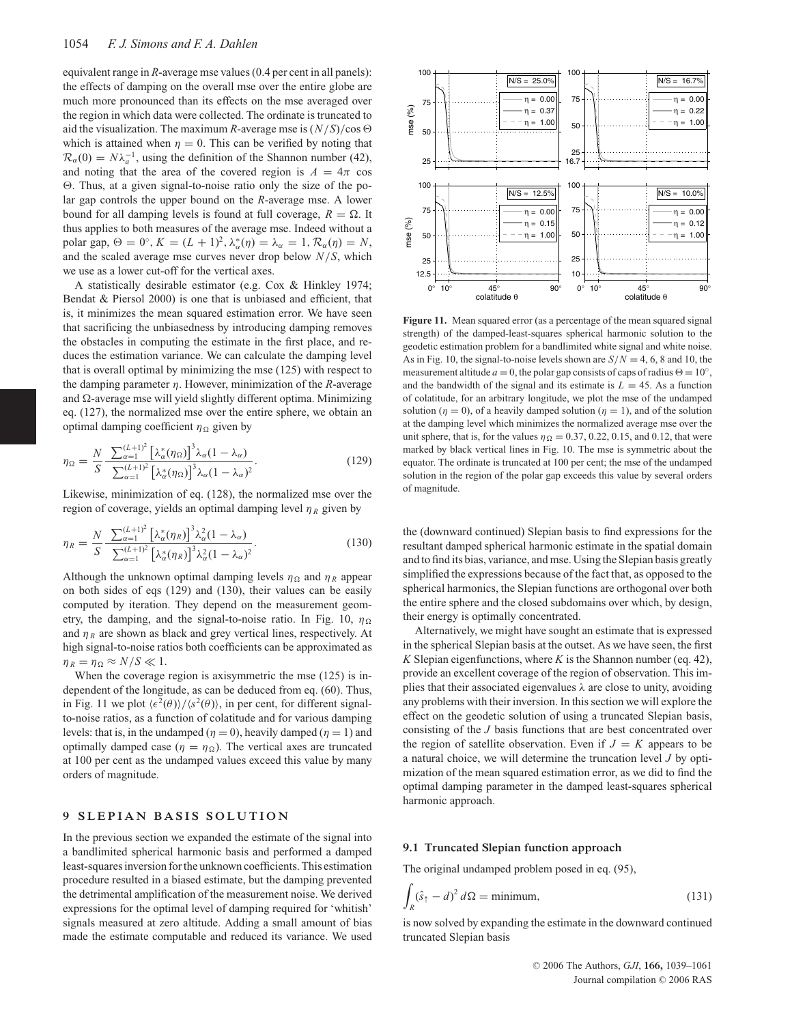equivalent range in *R*-average mse values (0.4 per cent in all panels): the effects of damping on the overall mse over the entire globe are much more pronounced than its effects on the mse averaged over the region in which data were collected. The ordinate is truncated to aid the visualization. The maximum *R*-average mse is  $(N/S)/\cos\Theta$ which is attained when  $\eta = 0$ . This can be verified by noting that  $\mathcal{R}_{\alpha}(0) = N\lambda_a^{-1}$ , using the definition of the Shannon number (42), and noting that the area of the covered region is  $A = 4\pi \cos \theta$ -. Thus, at a given signal-to-noise ratio only the size of the polar gap controls the upper bound on the *R*-average mse. A lower bound for all damping levels is found at full coverage,  $R = \Omega$ . It thus applies to both measures of the average mse. Indeed without a polar gap,  $\Theta = 0^{\circ}$ ,  $K = (L+1)^2$ ,  $\lambda_{\alpha}^*(\eta) = \lambda_{\alpha} = 1$ ,  $\mathcal{R}_{\alpha}(\eta) = N$ , and the scaled average mse curves never drop below *N*/*S*, which we use as a lower cut-off for the vertical axes.

A statistically desirable estimator (e.g. Cox & Hinkley 1974; Bendat & Piersol 2000) is one that is unbiased and efficient, that is, it minimizes the mean squared estimation error. We have seen that sacrificing the unbiasedness by introducing damping removes the obstacles in computing the estimate in the first place, and reduces the estimation variance. We can calculate the damping level that is overall optimal by minimizing the mse (125) with respect to the damping parameter  $\eta$ . However, minimization of the *R*-average and  $\Omega$ -average mse will yield slightly different optima. Minimizing eq. (127), the normalized mse over the entire sphere, we obtain an optimal damping coefficient  $\eta_{\Omega}$  given by

$$
\eta_{\Omega} = \frac{N}{S} \frac{\sum_{\alpha=1}^{(L+1)^2} \left[ \lambda_{\alpha}^*(\eta_{\Omega}) \right]^3 \lambda_{\alpha} (1 - \lambda_{\alpha})}{\sum_{\alpha=1}^{(L+1)^2} \left[ \lambda_{\alpha}^*(\eta_{\Omega}) \right]^3 \lambda_{\alpha} (1 - \lambda_{\alpha})^2}.
$$
\n(129)

Likewise, minimization of eq. (128), the normalized mse over the region of coverage, yields an optimal damping level  $\eta_R$  given by

$$
\eta_R = \frac{N}{S} \frac{\sum_{\alpha=1}^{(L+1)^2} \left[ \lambda_{\alpha}^*(\eta_R) \right]^3 \lambda_{\alpha}^2 (1 - \lambda_{\alpha})}{\sum_{\alpha=1}^{(L+1)^2} \left[ \lambda_{\alpha}^*(\eta_R) \right]^3 \lambda_{\alpha}^2 (1 - \lambda_{\alpha})^2}.
$$
(130)

Although the unknown optimal damping levels  $\eta_{\Omega}$  and  $\eta_R$  appear on both sides of eqs (129) and (130), their values can be easily computed by iteration. They depend on the measurement geometry, the damping, and the signal-to-noise ratio. In Fig. 10,  $\eta_{\Omega}$ and  $\eta_R$  are shown as black and grey vertical lines, respectively. At high signal-to-noise ratios both coefficients can be approximated as  $\eta_R = \eta_{\Omega} \approx N/S \ll 1.$ 

When the coverage region is axisymmetric the mse  $(125)$  is independent of the longitude, as can be deduced from eq. (60). Thus, in Fig. 11 we plot  $\langle \epsilon^2(\theta) \rangle / \langle s^2(\theta) \rangle$ , in per cent, for different signalto-noise ratios, as a function of colatitude and for various damping levels: that is, in the undamped ( $\eta = 0$ ), heavily damped ( $\eta = 1$ ) and optimally damped case ( $\eta = \eta_{\Omega}$ ). The vertical axes are truncated at 100 per cent as the undamped values exceed this value by many orders of magnitude.

## **9 SLEPIAN BASIS SOLUTION**

In the previous section we expanded the estimate of the signal into a bandlimited spherical harmonic basis and performed a damped least-squares inversion for the unknown coefficients. This estimation procedure resulted in a biased estimate, but the damping prevented the detrimental amplification of the measurement noise. We derived expressions for the optimal level of damping required for 'whitish' signals measured at zero altitude. Adding a small amount of bias made the estimate computable and reduced its variance. We used



Figure 11. Mean squared error (as a percentage of the mean squared signal strength) of the damped-least-squares spherical harmonic solution to the geodetic estimation problem for a bandlimited white signal and white noise. As in Fig. 10, the signal-to-noise levels shown are  $S/N = 4, 6, 8$  and 10, the measurement altitude  $a = 0$ , the polar gap consists of caps of radius  $\Theta = 10^{\circ}$ , and the bandwidth of the signal and its estimate is  $L = 45$ . As a function of colatitude, for an arbitrary longitude, we plot the mse of the undamped solution ( $\eta = 0$ ), of a heavily damped solution ( $\eta = 1$ ), and of the solution at the damping level which minimizes the normalized average mse over the unit sphere, that is, for the values  $\eta_{\Omega} = 0.37, 0.22, 0.15,$  and 0.12, that were marked by black vertical lines in Fig. 10. The mse is symmetric about the equator. The ordinate is truncated at 100 per cent; the mse of the undamped solution in the region of the polar gap exceeds this value by several orders of magnitude.

the (downward continued) Slepian basis to find expressions for the resultant damped spherical harmonic estimate in the spatial domain and to find its bias, variance, and mse. Using the Slepian basis greatly simplified the expressions because of the fact that, as opposed to the spherical harmonics, the Slepian functions are orthogonal over both the entire sphere and the closed subdomains over which, by design, their energy is optimally concentrated.

Alternatively, we might have sought an estimate that is expressed in the spherical Slepian basis at the outset. As we have seen, the first *K* Slepian eigenfunctions, where *K* is the Shannon number (eq. 42), provide an excellent coverage of the region of observation. This implies that their associated eigenvalues  $\lambda$  are close to unity, avoiding any problems with their inversion. In this section we will explore the effect on the geodetic solution of using a truncated Slepian basis, consisting of the *J* basis functions that are best concentrated over the region of satellite observation. Even if  $J = K$  appears to be a natural choice, we will determine the truncation level *J* by optimization of the mean squared estimation error, as we did to find the optimal damping parameter in the damped least-squares spherical harmonic approach.

#### **9.1 Truncated Slepian function approach**

The original undamped problem posed in eq. (95),

$$
\int_{R} (\hat{s}_{\uparrow} - d)^2 d\Omega = \text{minimum},\tag{131}
$$

is now solved by expanding the estimate in the downward continued truncated Slepian basis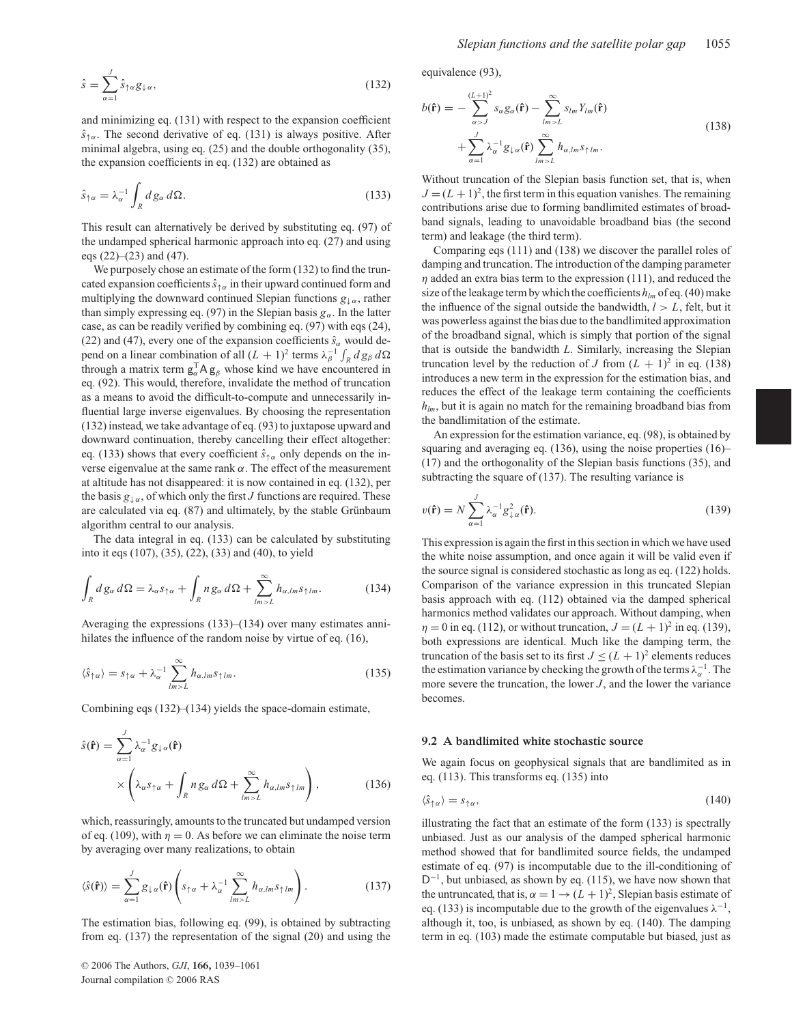$$
\hat{s} = \sum_{\alpha=1}^{J} \hat{s}_{\uparrow \alpha} g_{\downarrow \alpha},\tag{132}
$$

and minimizing eq. (131) with respect to the expansion coefficient  $\hat{s}_{\uparrow\alpha}$ . The second derivative of eq. (131) is always positive. After minimal algebra, using eq. (25) and the double orthogonality (35), the expansion coefficients in eq. (132) are obtained as

$$
\hat{s}_{\uparrow\alpha} = \lambda_{\alpha}^{-1} \int_{R} d g_{\alpha} d\Omega. \tag{133}
$$

This result can alternatively be derived by substituting eq. (97) of the undamped spherical harmonic approach into eq. (27) and using eqs (22)–(23) and (47).

We purposely chose an estimate of the form (132) to find the truncated expansion coefficients  $\hat{s}_{\uparrow\alpha}$  in their upward continued form and multiplying the downward continued Slepian functions *g*<sup>↓</sup>α, rather than simply expressing eq. (97) in the Slepian basis  $g_\alpha$ . In the latter case, as can be readily verified by combining eq. (97) with eqs (24), (22) and (47), every one of the expansion coefficients  $\hat{s}_{\alpha}$  would depend on a linear combination of all  $(L + 1)^2$  terms  $\lambda_\beta^{-1} \int_R dg_\beta d\Omega$ through a matrix term  $g_{\alpha}^{\mathsf{T}} A g_{\beta}$  whose kind we have encountered in eq. (92). This would, therefore, invalidate the method of truncation as a means to avoid the difficult-to-compute and unnecessarily influential large inverse eigenvalues. By choosing the representation (132) instead, we take advantage of eq. (93) to juxtapose upward and downward continuation, thereby cancelling their effect altogether: eq. (133) shows that every coefficient  $\hat{s}_{\uparrow\alpha}$  only depends on the inverse eigenvalue at the same rank  $\alpha$ . The effect of the measurement at altitude has not disappeared: it is now contained in eq. (132), per the basis  $g_{\downarrow\alpha}$ , of which only the first *J* functions are required. These are calculated via eq.  $(87)$  and ultimately, by the stable Grünbaum algorithm central to our analysis.

The data integral in eq. (133) can be calculated by substituting into it eqs (107), (35), (22), (33) and (40), to yield

$$
\int_{R} d g_{\alpha} d\Omega = \lambda_{\alpha} s_{\uparrow \alpha} + \int_{R} n g_{\alpha} d\Omega + \sum_{lm>L}^{\infty} h_{\alpha,lm} s_{\uparrow lm}.
$$
 (134)

Averaging the expressions (133)–(134) over many estimates annihilates the influence of the random noise by virtue of eq. (16),

$$
\langle \hat{s}_{\uparrow\alpha} \rangle = s_{\uparrow\alpha} + \lambda_{\alpha}^{-1} \sum_{lm>L}^{\infty} h_{\alpha,lm} s_{\uparrow lm}.
$$
 (135)

Combining eqs (132)–(134) yields the space-domain estimate,

$$
\hat{s}(\hat{\mathbf{r}}) = \sum_{\alpha=1}^{J} \lambda_{\alpha}^{-1} g_{\downarrow \alpha}(\hat{\mathbf{r}})
$$

$$
\times \left( \lambda_{\alpha} s_{\uparrow \alpha} + \int_{R} n g_{\alpha} d\Omega + \sum_{lm>L}^{\infty} h_{\alpha,lm} s_{\uparrow lm} \right), \qquad (136)
$$

which, reassuringly, amounts to the truncated but undamped version of eq. (109), with  $\eta = 0$ . As before we can eliminate the noise term by averaging over many realizations, to obtain

$$
\langle \hat{s}(\hat{\mathbf{r}}) \rangle = \sum_{\alpha=1}^{J} g_{\downarrow \alpha}(\hat{\mathbf{r}}) \left( s_{\uparrow \alpha} + \lambda_{\alpha}^{-1} \sum_{lm>L}^{\infty} h_{\alpha,lm} s_{\uparrow lm} \right). \tag{137}
$$

The estimation bias, following eq. (99), is obtained by subtracting from eq. (137) the representation of the signal (20) and using the equivalence (93),

$$
b(\hat{\mathbf{r}}) = -\sum_{\alpha > J}^{(L+1)^2} s_{\alpha} g_{\alpha}(\hat{\mathbf{r}}) - \sum_{lm>L}^{\infty} s_{lm} Y_{lm}(\hat{\mathbf{r}})
$$
  
+ 
$$
\sum_{\alpha=1}^{J} \lambda_{\alpha}^{-1} g_{\downarrow \alpha}(\hat{\mathbf{r}}) \sum_{lm>L}^{\infty} h_{\alpha,lm} s_{\uparrow lm}.
$$
 (138)

Without truncation of the Slepian basis function set, that is, when  $J = (L + 1)^2$ , the first term in this equation vanishes. The remaining contributions arise due to forming bandlimited estimates of broadband signals, leading to unavoidable broadband bias (the second term) and leakage (the third term).

Comparing eqs (111) and (138) we discover the parallel roles of damping and truncation. The introduction of the damping parameter  $\eta$  added an extra bias term to the expression (111), and reduced the size of the leakage term by which the coefficients  $h_{lm}$  of eq. (40) make the influence of the signal outside the bandwidth,  $l > L$ , felt, but it was powerless against the bias due to the bandlimited approximation of the broadband signal, which is simply that portion of the signal that is outside the bandwidth *L*. Similarly, increasing the Slepian truncation level by the reduction of *J* from  $(L + 1)^2$  in eq. (138) introduces a new term in the expression for the estimation bias, and reduces the effect of the leakage term containing the coefficients *hlm*, but it is again no match for the remaining broadband bias from the bandlimitation of the estimate.

An expression for the estimation variance, eq. (98), is obtained by squaring and averaging eq. (136), using the noise properties (16)– (17) and the orthogonality of the Slepian basis functions (35), and subtracting the square of (137). The resulting variance is

$$
v(\hat{\mathbf{r}}) = N \sum_{\alpha=1}^{J} \lambda_{\alpha}^{-1} g_{\downarrow \alpha}^{2}(\hat{\mathbf{r}}).
$$
\n(139)

This expression is again the first in this section in which we have used the white noise assumption, and once again it will be valid even if the source signal is considered stochastic as long as eq. (122) holds. Comparison of the variance expression in this truncated Slepian basis approach with eq. (112) obtained via the damped spherical harmonics method validates our approach. Without damping, when  $\eta = 0$  in eq. (112), or without truncation,  $J = (L + 1)^2$  in eq. (139), both expressions are identical. Much like the damping term, the truncation of the basis set to its first  $J \leq (L + 1)^2$  elements reduces the estimation variance by checking the growth of the terms  $\lambda_{\alpha}^{-1}$ . The more severe the truncation, the lower *J*, and the lower the variance becomes.

#### **9.2 A bandlimited white stochastic source**

We again focus on geophysical signals that are bandlimited as in eq. (113). This transforms eq. (135) into

$$
\langle \hat{s}_{\uparrow \alpha} \rangle = s_{\uparrow \alpha},\tag{140}
$$

illustrating the fact that an estimate of the form (133) is spectrally unbiased. Just as our analysis of the damped spherical harmonic method showed that for bandlimited source fields, the undamped estimate of eq. (97) is incomputable due to the ill-conditioning of  $D^{-1}$ , but unbiased, as shown by eq. (115), we have now shown that the untruncated, that is,  $\alpha = 1 \rightarrow (L + 1)^2$ , Slepian basis estimate of eq. (133) is incomputable due to the growth of the eigenvalues  $\lambda^{-1}$ , although it, too, is unbiased, as shown by eq. (140). The damping term in eq. (103) made the estimate computable but biased, just as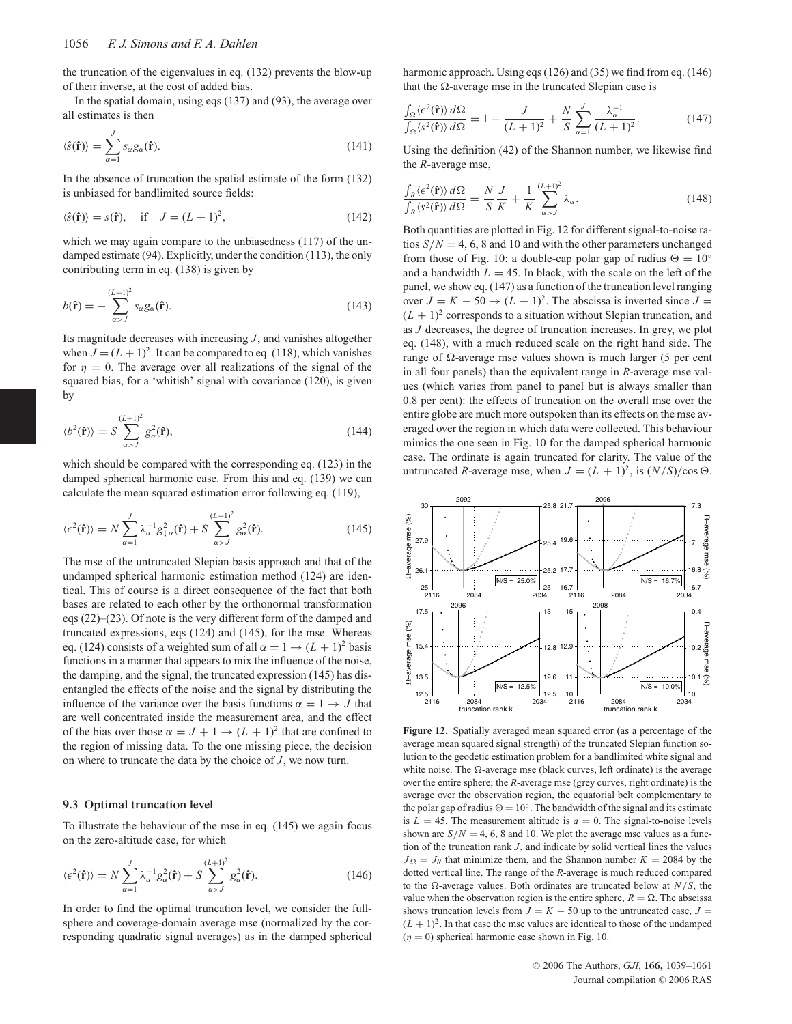the truncation of the eigenvalues in eq. (132) prevents the blow-up of their inverse, at the cost of added bias.

In the spatial domain, using eqs (137) and (93), the average over all estimates is then

$$
\langle \hat{s}(\hat{\mathbf{r}}) \rangle = \sum_{\alpha=1}^{J} s_{\alpha} g_{\alpha}(\hat{\mathbf{r}}). \tag{141}
$$

In the absence of truncation the spatial estimate of the form (132) is unbiased for bandlimited source fields:

$$
\langle \hat{s}(\hat{\mathbf{r}}) \rangle = s(\hat{\mathbf{r}}), \quad \text{if} \quad J = (L+1)^2,
$$
\n(142)

which we may again compare to the unbiasedness (117) of the undamped estimate (94). Explicitly, under the condition (113), the only contributing term in eq. (138) is given by

$$
b(\hat{\mathbf{r}}) = -\sum_{\alpha > J}^{(L+1)^2} s_{\alpha} g_{\alpha}(\hat{\mathbf{r}}).
$$
 (143)

Its magnitude decreases with increasing *J*, and vanishes altogether when  $J = (L + 1)^2$ . It can be compared to eq. (118), which vanishes for  $\eta = 0$ . The average over all realizations of the signal of the squared bias, for a 'whitish' signal with covariance (120), is given by

$$
\langle b^2(\mathbf{\hat{r}}) \rangle = S \sum_{\alpha > J}^{(L+1)^2} g_\alpha^2(\mathbf{\hat{r}}), \tag{144}
$$

which should be compared with the corresponding eq. (123) in the damped spherical harmonic case. From this and eq. (139) we can calculate the mean squared estimation error following eq. (119),

$$
\langle \epsilon^2(\mathbf{\hat{r}}) \rangle = N \sum_{\alpha=1}^J \lambda_\alpha^{-1} g_{\downarrow \alpha}^2(\mathbf{\hat{r}}) + S \sum_{\alpha>J}^{(L+1)^2} g_\alpha^2(\mathbf{\hat{r}}). \tag{145}
$$

The mse of the untruncated Slepian basis approach and that of the undamped spherical harmonic estimation method (124) are identical. This of course is a direct consequence of the fact that both bases are related to each other by the orthonormal transformation eqs (22)–(23). Of note is the very different form of the damped and truncated expressions, eqs (124) and (145), for the mse. Whereas eq. (124) consists of a weighted sum of all  $\alpha = 1 \rightarrow (L + 1)^2$  basis functions in a manner that appears to mix the influence of the noise, the damping, and the signal, the truncated expression (145) has disentangled the effects of the noise and the signal by distributing the influence of the variance over the basis functions  $\alpha = 1 \rightarrow J$  that are well concentrated inside the measurement area, and the effect of the bias over those  $\alpha = J + 1 \rightarrow (L + 1)^2$  that are confined to the region of missing data. To the one missing piece, the decision on where to truncate the data by the choice of *J*, we now turn.

#### **9.3 Optimal truncation level**

To illustrate the behaviour of the mse in eq. (145) we again focus on the zero-altitude case, for which

$$
\langle \epsilon^2(\mathbf{\hat{r}}) \rangle = N \sum_{\alpha=1}^J \lambda_\alpha^{-1} g_\alpha^2(\mathbf{\hat{r}}) + S \sum_{\alpha>J}^{(L+1)^2} g_\alpha^2(\mathbf{\hat{r}}). \tag{146}
$$

In order to find the optimal truncation level, we consider the fullsphere and coverage-domain average mse (normalized by the corresponding quadratic signal averages) as in the damped spherical harmonic approach. Using eqs (126) and (35) we find from eq. (146) that the  $\Omega$ -average mse in the truncated Slepian case is

$$
\frac{\int_{\Omega} \langle \epsilon^2(\hat{\mathbf{r}}) \rangle d\Omega}{\int_{\Omega} \langle s^2(\hat{\mathbf{r}}) \rangle d\Omega} = 1 - \frac{J}{(L+1)^2} + \frac{N}{S} \sum_{\alpha=1}^J \frac{\lambda_{\alpha}^{-1}}{(L+1)^2}.
$$
\n(147)

Using the definition (42) of the Shannon number, we likewise find the *R*-average mse,

$$
\frac{\int_{R} \langle \epsilon^{2}(\hat{\mathbf{r}}) \rangle d\Omega}{\int_{R} \langle s^{2}(\hat{\mathbf{r}}) \rangle d\Omega} = \frac{N}{S} \frac{J}{K} + \frac{1}{K} \sum_{\alpha > J}^{(L+1)^{2}} \lambda_{\alpha}.
$$
\n(148)

Both quantities are plotted in Fig. 12 for different signal-to-noise ratios  $S/N = 4, 6, 8$  and 10 and with the other parameters unchanged from those of Fig. 10: a double-cap polar gap of radius  $\Theta = 10^{\circ}$ and a bandwidth  $L = 45$ . In black, with the scale on the left of the panel, we show eq. (147) as a function of the truncation level ranging over  $J = K - 50 \rightarrow (L + 1)^2$ . The abscissa is inverted since  $J =$  $(L + 1)^2$  corresponds to a situation without Slepian truncation, and as *J* decreases, the degree of truncation increases. In grey, we plot eq. (148), with a much reduced scale on the right hand side. The range of  $\Omega$ -average mse values shown is much larger (5 per cent in all four panels) than the equivalent range in *R*-average mse values (which varies from panel to panel but is always smaller than 0.8 per cent): the effects of truncation on the overall mse over the entire globe are much more outspoken than its effects on the mse averaged over the region in which data were collected. This behaviour mimics the one seen in Fig. 10 for the damped spherical harmonic case. The ordinate is again truncated for clarity. The value of the untruncated *R*-average mse, when  $J = (L + 1)^2$ , is  $(N/S)/\cos\Theta$ .



**Figure 12.** Spatially averaged mean squared error (as a percentage of the average mean squared signal strength) of the truncated Slepian function solution to the geodetic estimation problem for a bandlimited white signal and white noise. The  $\Omega$ -average mse (black curves, left ordinate) is the average over the entire sphere; the *R*-average mse (grey curves, right ordinate) is the average over the observation region, the equatorial belt complementary to the polar gap of radius  $\Theta = 10^\circ$ . The bandwidth of the signal and its estimate is  $L = 45$ . The measurement altitude is  $a = 0$ . The signal-to-noise levels shown are  $S/N = 4, 6, 8$  and 10. We plot the average mse values as a function of the truncation rank *J*, and indicate by solid vertical lines the values  $J_{\Omega} = J_R$  that minimize them, and the Shannon number  $K = 2084$  by the dotted vertical line. The range of the *R*-average is much reduced compared to the  $\Omega$ -average values. Both ordinates are truncated below at *N*/*S*, the value when the observation region is the entire sphere,  $R = \Omega$ . The abscissa shows truncation levels from  $J = K - 50$  up to the untruncated case,  $J =$  $(L + 1)^2$ . In that case the mse values are identical to those of the undamped  $(\eta = 0)$  spherical harmonic case shown in Fig. 10.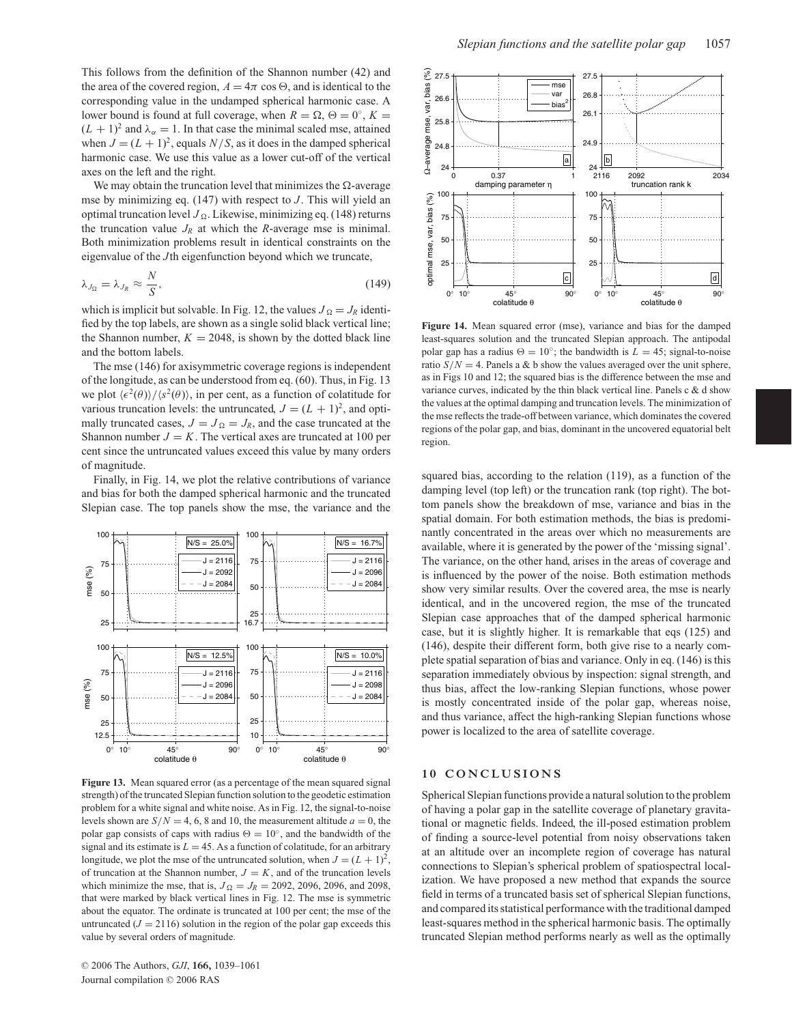This follows from the definition of the Shannon number (42) and the area of the covered region,  $A = 4\pi \cos \Theta$ , and is identical to the corresponding value in the undamped spherical harmonic case. A lower bound is found at full coverage, when  $R = \Omega$ ,  $\Theta = 0^\circ$ ,  $K =$  $(L + 1)^2$  and  $\lambda_\alpha = 1$ . In that case the minimal scaled mse, attained when  $J = (L + 1)^2$ , equals  $N/S$ , as it does in the damped spherical harmonic case. We use this value as a lower cut-off of the vertical axes on the left and the right.

We may obtain the truncation level that minimizes the  $\Omega$ -average mse by minimizing eq. (147) with respect to *J*. This will yield an optimal truncation level  $J_{\Omega}$ . Likewise, minimizing eq. (148) returns the truncation value  $J_R$  at which the *R*-average mse is minimal. Both minimization problems result in identical constraints on the eigenvalue of the *J*th eigenfunction beyond which we truncate,

$$
\lambda_{J_{\Omega}} = \lambda_{J_R} \approx \frac{N}{S},\tag{149}
$$

which is implicit but solvable. In Fig. 12, the values  $J_{\Omega} = J_R$  identified by the top labels, are shown as a single solid black vertical line; the Shannon number,  $K = 2048$ , is shown by the dotted black line and the bottom labels.

The mse (146) for axisymmetric coverage regions is independent of the longitude, as can be understood from eq. (60). Thus, in Fig. 13 we plot  $\langle \epsilon^2(\theta) \rangle / \langle s^2(\theta) \rangle$ , in per cent, as a function of colatitude for various truncation levels: the untruncated,  $J = (L + 1)^2$ , and optimally truncated cases,  $J = J_{\Omega} = J_R$ , and the case truncated at the Shannon number  $J = K$ . The vertical axes are truncated at 100 per cent since the untruncated values exceed this value by many orders of magnitude.

Finally, in Fig. 14, we plot the relative contributions of variance and bias for both the damped spherical harmonic and the truncated Slepian case. The top panels show the mse, the variance and the



**Figure 13.** Mean squared error (as a percentage of the mean squared signal strength) of the truncated Slepian function solution to the geodetic estimation problem for a white signal and white noise. As in Fig. 12, the signal-to-noise levels shown are  $S/N = 4, 6, 8$  and 10, the measurement altitude  $a = 0$ , the polar gap consists of caps with radius  $\Theta = 10^{\circ}$ , and the bandwidth of the signal and its estimate is  $L = 45$ . As a function of colatitude, for an arbitrary longitude, we plot the mse of the untruncated solution, when  $J = (L + 1)^2$ . of truncation at the Shannon number,  $J = K$ , and of the truncation levels which minimize the mse, that is,  $J_{\Omega} = J_R = 2092, 2096, 2096,$  and 2098, that were marked by black vertical lines in Fig. 12. The mse is symmetric about the equator. The ordinate is truncated at 100 per cent; the mse of the untruncated  $(J = 2116)$  solution in the region of the polar gap exceeds this value by several orders of magnitude.



**Figure 14.** Mean squared error (mse), variance and bias for the damped least-squares solution and the truncated Slepian approach. The antipodal polar gap has a radius  $\Theta = 10^\circ$ ; the bandwidth is  $L = 45$ ; signal-to-noise ratio  $S/N = 4$ . Panels a & b show the values averaged over the unit sphere, as in Figs 10 and 12; the squared bias is the difference between the mse and variance curves, indicated by the thin black vertical line. Panels c & d show the values at the optimal damping and truncation levels. The minimization of the mse reflects the trade-off between variance, which dominates the covered regions of the polar gap, and bias, dominant in the uncovered equatorial belt region.

squared bias, according to the relation (119), as a function of the damping level (top left) or the truncation rank (top right). The bottom panels show the breakdown of mse, variance and bias in the spatial domain. For both estimation methods, the bias is predominantly concentrated in the areas over which no measurements are available, where it is generated by the power of the 'missing signal'. The variance, on the other hand, arises in the areas of coverage and is influenced by the power of the noise. Both estimation methods show very similar results. Over the covered area, the mse is nearly identical, and in the uncovered region, the mse of the truncated Slepian case approaches that of the damped spherical harmonic case, but it is slightly higher. It is remarkable that eqs (125) and (146), despite their different form, both give rise to a nearly complete spatial separation of bias and variance. Only in eq. (146) is this separation immediately obvious by inspection: signal strength, and thus bias, affect the low-ranking Slepian functions, whose power is mostly concentrated inside of the polar gap, whereas noise, and thus variance, affect the high-ranking Slepian functions whose power is localized to the area of satellite coverage.

#### **10 CONCLUSIONS**

Spherical Slepian functions provide a natural solution to the problem of having a polar gap in the satellite coverage of planetary gravitational or magnetic fields. Indeed, the ill-posed estimation problem of finding a source-level potential from noisy observations taken at an altitude over an incomplete region of coverage has natural connections to Slepian's spherical problem of spatiospectral localization. We have proposed a new method that expands the source field in terms of a truncated basis set of spherical Slepian functions, and compared its statistical performance with the traditional damped least-squares method in the spherical harmonic basis. The optimally truncated Slepian method performs nearly as well as the optimally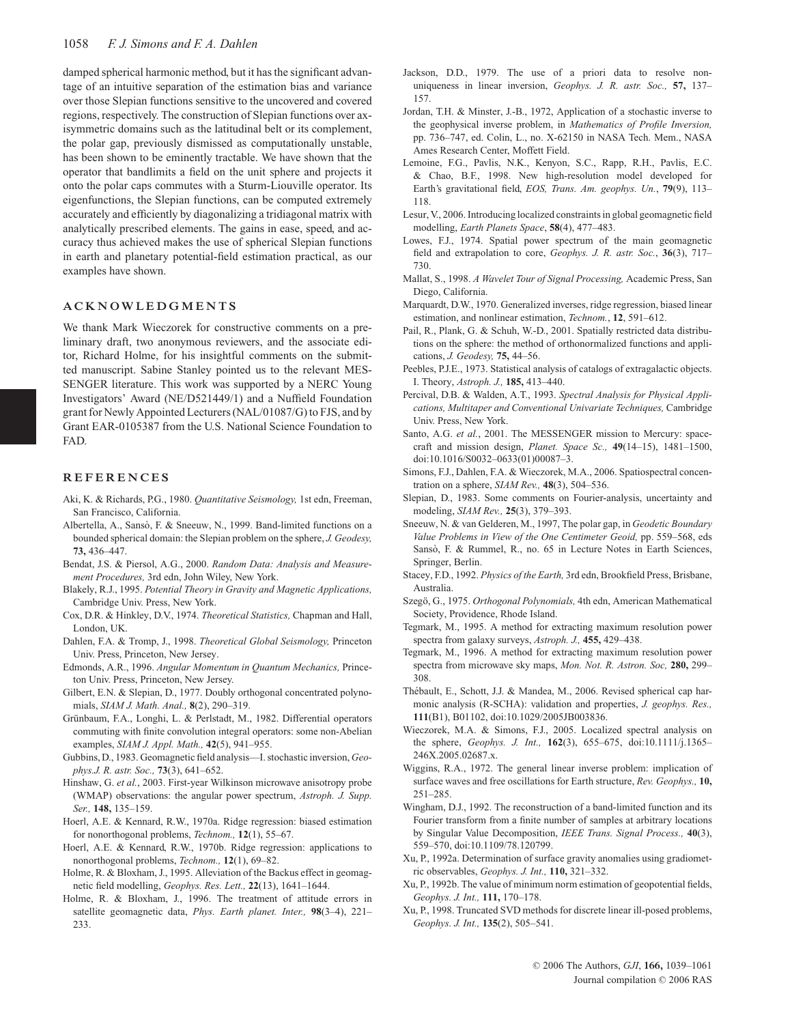damped spherical harmonic method, but it has the significant advantage of an intuitive separation of the estimation bias and variance over those Slepian functions sensitive to the uncovered and covered regions, respectively. The construction of Slepian functions over axisymmetric domains such as the latitudinal belt or its complement, the polar gap, previously dismissed as computationally unstable, has been shown to be eminently tractable. We have shown that the operator that bandlimits a field on the unit sphere and projects it onto the polar caps commutes with a Sturm-Liouville operator. Its eigenfunctions, the Slepian functions, can be computed extremely accurately and efficiently by diagonalizing a tridiagonal matrix with analytically prescribed elements. The gains in ease, speed, and accuracy thus achieved makes the use of spherical Slepian functions in earth and planetary potential-field estimation practical, as our examples have shown.

## **ACKNOWLEDGMENTS**

We thank Mark Wieczorek for constructive comments on a preliminary draft, two anonymous reviewers, and the associate editor, Richard Holme, for his insightful comments on the submitted manuscript. Sabine Stanley pointed us to the relevant MES-SENGER literature. This work was supported by a NERC Young Investigators' Award (NE/D521449/1) and a Nuffield Foundation grant for Newly Appointed Lecturers (NAL/01087/G) to FJS, and by Grant EAR-0105387 from the U.S. National Science Foundation to FAD.

## **REFERENCES**

- Aki, K. & Richards, P.G., 1980. *Quantitative Seismology,* 1st edn, Freeman, San Francisco, California.
- Albertella, A., Sansò, F. & Sneeuw, N., 1999. Band-limited functions on a bounded spherical domain: the Slepian problem on the sphere, *J. Geodesy,* **73,** 436–447.
- Bendat, J.S. & Piersol, A.G., 2000. *Random Data: Analysis and Measurement Procedures,* 3rd edn, John Wiley, New York.
- Blakely, R.J., 1995. *Potential Theory in Gravity and Magnetic Applications,* Cambridge Univ. Press, New York.
- Cox, D.R. & Hinkley, D.V., 1974. *Theoretical Statistics,* Chapman and Hall, London, UK.
- Dahlen, F.A. & Tromp, J., 1998. *Theoretical Global Seismology,* Princeton Univ. Press, Princeton, New Jersey.
- Edmonds, A.R., 1996. *Angular Momentum in Quantum Mechanics,* Princeton Univ. Press, Princeton, New Jersey.
- Gilbert, E.N. & Slepian, D., 1977. Doubly orthogonal concentrated polynomials, *SIAM J. Math. Anal.,* **8**(2), 290–319.
- Grünbaum, F.A., Longhi, L. & Perlstadt, M., 1982. Differential operators commuting with finite convolution integral operators: some non-Abelian examples, *SIAM J. Appl. Math.,* **42**(5), 941–955.
- Gubbins, D., 1983. Geomagnetic field analysis—I. stochastic inversion, *Geophys.J. R. astr. Soc.,* **73**(3), 641–652.
- Hinshaw, G. *et al.*, 2003. First-year Wilkinson microwave anisotropy probe (WMAP) observations: the angular power spectrum, *Astroph. J. Supp. Ser.,* **148,** 135–159.
- Hoerl, A.E. & Kennard, R.W., 1970a. Ridge regression: biased estimation for nonorthogonal problems, *Technom.,* **12**(1), 55–67.
- Hoerl, A.E. & Kennard, R.W., 1970b. Ridge regression: applications to nonorthogonal problems, *Technom.,* **12**(1), 69–82.
- Holme, R. & Bloxham, J., 1995. Alleviation of the Backus effect in geomagnetic field modelling, *Geophys. Res. Lett.,* **22**(13), 1641–1644.
- Holme, R. & Bloxham, J., 1996. The treatment of attitude errors in satellite geomagnetic data, *Phys. Earth planet. Inter.,* **98**(3–4), 221– 233.
- Jackson, D.D., 1979. The use of a priori data to resolve nonuniqueness in linear inversion, *Geophys. J. R. astr. Soc.,* **57,** 137– 157.
- Jordan, T.H. & Minster, J.-B., 1972, Application of a stochastic inverse to the geophysical inverse problem, in *Mathematics of Profile Inversion,* pp. 736–747, ed. Colin, L., no. X-62150 in NASA Tech. Mem., NASA Ames Research Center, Moffett Field.
- Lemoine, F.G., Pavlis, N.K., Kenyon, S.C., Rapp, R.H., Pavlis, E.C. & Chao, B.F., 1998. New high-resolution model developed for Earth's gravitational field, *EOS, Trans. Am. geophys. Un.*, **79**(9), 113– 118.
- Lesur, V., 2006. Introducing localized constraints in global geomagnetic field modelling, *Earth Planets Space*, **58**(4), 477–483.
- Lowes, F.J., 1974. Spatial power spectrum of the main geomagnetic field and extrapolation to core, *Geophys. J. R. astr. Soc.*, **36**(3), 717– 730.
- Mallat, S., 1998. *A Wavelet Tour of Signal Processing,* Academic Press, San Diego, California.
- Marquardt, D.W., 1970. Generalized inverses, ridge regression, biased linear estimation, and nonlinear estimation, *Technom.*, **12**, 591–612.
- Pail, R., Plank, G. & Schuh, W.-D., 2001. Spatially restricted data distributions on the sphere: the method of orthonormalized functions and applications, *J. Geodesy,* **75,** 44–56.
- Peebles, P.J.E., 1973. Statistical analysis of catalogs of extragalactic objects. I. Theory, *Astroph. J.,* **185,** 413–440.
- Percival, D.B. & Walden, A.T., 1993. *Spectral Analysis for Physical Applications, Multitaper and Conventional Univariate Techniques,* Cambridge Univ. Press, New York.
- Santo, A.G. *et al.*, 2001. The MESSENGER mission to Mercury: spacecraft and mission design, *Planet. Space Sc.,* **49**(14–15), 1481–1500, doi:10.1016/S0032–0633(01)00087–3.
- Simons, F.J., Dahlen, F.A. & Wieczorek, M.A., 2006. Spatiospectral concentration on a sphere, *SIAM Rev.,* **48**(3), 504–536.
- Slepian, D., 1983. Some comments on Fourier-analysis, uncertainty and modeling, *SIAM Rev.,* **25**(3), 379–393.
- Sneeuw, N. & van Gelderen, M., 1997, The polar gap, in *Geodetic Boundary Value Problems in View of the One Centimeter Geoid,* pp. 559–568, eds Sansò, F. & Rummel, R., no. 65 in Lecture Notes in Earth Sciences, Springer, Berlin.
- Stacey, F.D., 1992. *Physics of the Earth,* 3rd edn, Brookfield Press, Brisbane, Australia.
- Szegö, G., 1975. *Orthogonal Polynomials*, 4th edn, American Mathematical Society, Providence, Rhode Island.
- Tegmark, M., 1995. A method for extracting maximum resolution power spectra from galaxy surveys, *Astroph. J.,* **455,** 429–438.
- Tegmark, M., 1996. A method for extracting maximum resolution power spectra from microwave sky maps, *Mon. Not. R. Astron. Soc,* **280,** 299– 308.
- Thébault, E., Schott, J.J. & Mandea, M., 2006. Revised spherical cap harmonic analysis (R-SCHA): validation and properties, *J. geophys. Res.,* **111**(B1), B01102, doi:10.1029/2005JB003836.
- Wieczorek, M.A. & Simons, F.J., 2005. Localized spectral analysis on the sphere, *Geophys. J. Int.,* **162**(3), 655–675, doi:10.1111/j.1365– 246X.2005.02687.x.
- Wiggins, R.A., 1972. The general linear inverse problem: implication of surface waves and free oscillations for Earth structure, *Rev. Geophys.,* **10,** 251–285.
- Wingham, D.J., 1992. The reconstruction of a band-limited function and its Fourier transform from a finite number of samples at arbitrary locations by Singular Value Decomposition, *IEEE Trans. Signal Process.,* **40**(3), 559–570, doi:10.1109/78.120799.
- Xu, P., 1992a. Determination of surface gravity anomalies using gradiometric observables, *Geophys. J. Int.,* **110,** 321–332.
- Xu, P., 1992b. The value of minimum norm estimation of geopotential fields, *Geophys. J. Int.,* **111,** 170–178.
- Xu, P., 1998. Truncated SVD methods for discrete linear ill-posed problems, *Geophys. J. Int.,* **135**(2), 505–541.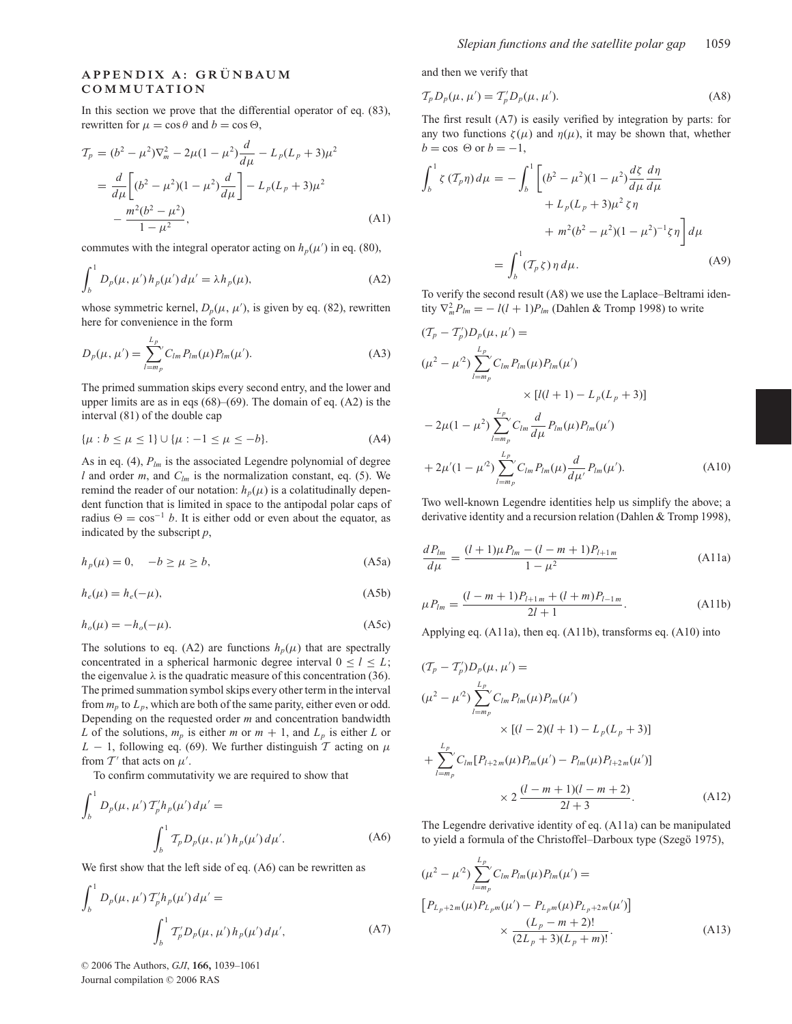## **APPENDIX A: GR UNBAUM ¨ COMMUTATION**

In this section we prove that the differential operator of eq. (83), rewritten for  $\mu = \cos \theta$  and  $b = \cos \Theta$ ,

$$
\mathcal{T}_p = (b^2 - \mu^2)\nabla_m^2 - 2\mu(1 - \mu^2)\frac{d}{d\mu} - L_p(L_p + 3)\mu^2
$$
  
= 
$$
\frac{d}{d\mu} \left[ (b^2 - \mu^2)(1 - \mu^2)\frac{d}{d\mu} \right] - L_p(L_p + 3)\mu^2
$$
  
- 
$$
\frac{m^2(b^2 - \mu^2)}{1 - \mu^2},
$$
 (A1)

commutes with the integral operator acting on  $h_p(\mu')$  in eq. (80),

$$
\int_{b}^{1} D_{p}(\mu, \mu') h_{p}(\mu') d\mu' = \lambda h_{p}(\mu), \tag{A2}
$$

whose symmetric kernel,  $D_p(\mu, \mu')$ , is given by eq. (82), rewritten here for convenience in the form

$$
D_p(\mu, \mu') = \sum_{l=m_p}^{L_p} C_{lm} P_{lm}(\mu) P_{lm}(\mu').
$$
 (A3)

The primed summation skips every second entry, and the lower and upper limits are as in eqs  $(68)$ – $(69)$ . The domain of eq.  $(A2)$  is the interval (81) of the double cap

$$
\{\mu : b \le \mu \le 1\} \cup \{\mu : -1 \le \mu \le -b\}.\tag{A4}
$$

As in eq.  $(4)$ ,  $P_{lm}$  is the associated Legendre polynomial of degree *l* and order *m*, and  $C_{lm}$  is the normalization constant, eq. (5). We remind the reader of our notation:  $h_p(\mu)$  is a colatitudinally dependent function that is limited in space to the antipodal polar caps of radius  $\Theta = \cos^{-1} b$ . It is either odd or even about the equator, as indicated by the subscript *p*,

$$
h_p(\mu) = 0, \quad -b \ge \mu \ge b,\tag{A5a}
$$

$$
h_e(\mu) = h_e(-\mu),\tag{A5b}
$$

$$
h_o(\mu) = -h_o(-\mu). \tag{A5c}
$$

The solutions to eq. (A2) are functions  $h_p(\mu)$  that are spectrally concentrated in a spherical harmonic degree interval  $0 \le l \le L$ ; the eigenvalue  $\lambda$  is the quadratic measure of this concentration (36). The primed summation symbol skips every other term in the interval from  $m_p$  to  $L_p$ , which are both of the same parity, either even or odd. Depending on the requested order *m* and concentration bandwidth *L* of the solutions,  $m_p$  is either *m* or  $m + 1$ , and  $L_p$  is either *L* or  $L - 1$ , following eq. (69). We further distinguish T acting on  $\mu$ from  $T'$  that acts on  $\mu'$ .

To confirm commutativity we are required to show that

$$
\int_{b}^{1} D_{p}(\mu, \mu') T'_{p} h_{p}(\mu') d\mu' =
$$
\n
$$
\int_{b}^{1} T_{p} D_{p}(\mu, \mu') h_{p}(\mu') d\mu'. \tag{A6}
$$

We first show that the left side of eq. (A6) can be rewritten as

$$
\int_{b}^{1} D_{p}(\mu, \mu') T'_{p} h_{p}(\mu') d\mu' =
$$
\n
$$
\int_{b}^{1} T'_{p} D_{p}(\mu, \mu') h_{p}(\mu') d\mu', \qquad (A7)
$$

<sup>C</sup> 2006 The Authors, *GJI*, **166,** 1039–1061 Journal compilation  $©$  2006 RAS

and then we verify that

$$
\mathcal{T}_p D_p(\mu, \mu') = \mathcal{T}_p' D_p(\mu, \mu'). \tag{A8}
$$

The first result (A7) is easily verified by integration by parts: for any two functions  $\zeta(\mu)$  and  $\eta(\mu)$ , it may be shown that, whether  $b = \cos \Theta$  or  $b = -1$ ,

$$
\int_{b}^{1} \zeta(T_{p}\eta) d\mu = -\int_{b}^{1} \left[ (b^{2} - \mu^{2})(1 - \mu^{2}) \frac{d\zeta}{d\mu} \frac{d\eta}{d\mu} + L_{p}(L_{p} + 3)\mu^{2} \zeta \eta + m^{2}(b^{2} - \mu^{2})(1 - \mu^{2})^{-1} \zeta \eta \right] d\mu
$$

$$
= \int_{b}^{1} (\mathcal{T}_{p}\zeta) \eta d\mu.
$$
(A9)

To verify the second result (A8) we use the Laplace–Beltrami identity  $\nabla_m^2 P_{lm} = -l(l+1)P_{lm}$  (Dahlen & Tromp 1998) to write

$$
(\mathcal{T}_p - \mathcal{T}'_p)D_p(\mu, \mu') =
$$
  
\n
$$
(\mu^2 - \mu'^2) \sum_{l=m_p}^{L_p} C_{lm} P_{lm}(\mu) P_{lm}(\mu')
$$
  
\n
$$
\times [l(l+1) - L_p(L_p + 3)]
$$
  
\n
$$
- 2\mu (1 - \mu^2) \sum_{l=m_p}^{L_p} C_{lm} \frac{d}{d\mu} P_{lm}(\mu) P_{lm}(\mu')
$$
  
\n
$$
+ 2\mu'(1 - \mu'^2) \sum_{l=m_p}^{L_p} C_{lm} P_{lm}(\mu) \frac{d}{d\mu'} P_{lm}(\mu'). \qquad (A10)
$$

Two well-known Legendre identities help us simplify the above; a derivative identity and a recursion relation (Dahlen & Tromp 1998),

$$
\frac{dP_{lm}}{d\mu} = \frac{(l+1)\mu P_{lm} - (l-m+1)P_{l+1m}}{1 - \mu^2}
$$
\n(A11a)

$$
\mu P_{lm} = \frac{(l - m + 1)P_{l+1m} + (l + m)P_{l-1m}}{2l + 1}.
$$
\n(A11b)

Applying eq. (A11a), then eq. (A11b), transforms eq. (A10) into

$$
(\mathcal{T}_p - \mathcal{T}_p')D_p(\mu, \mu') =
$$
  
\n
$$
(\mu^2 - \mu'^2) \sum_{l=m_p}^{L_p} C_{lm} P_{lm}(\mu) P_{lm}(\mu')
$$
  
\n
$$
\times [(l-2)(l+1) - L_p(L_p + 3)]
$$
  
\n
$$
+ \sum_{l=m_p}^{L_p} C_{lm} [P_{l+2m}(\mu) P_{lm}(\mu') - P_{lm}(\mu) P_{l+2m}(\mu')] \times 2 \frac{(l-m+1)(l-m+2)}{2l+3}.
$$
 (A12)

The Legendre derivative identity of eq. (A11a) can be manipulated to yield a formula of the Christoffel–Darboux type (Szegö 1975),

$$
(\mu^2 - \mu'^2) \sum_{l=m_p}^{L_p} C_{lm} P_{lm}(\mu) P_{lm}(\mu') =
$$
  
\n
$$
\left[ P_{L_p+2m}(\mu) P_{L_p m}(\mu') - P_{L_p m}(\mu) P_{L_p+2m}(\mu') \right]
$$
  
\n
$$
\times \frac{(L_p - m + 2)!}{(2L_p + 3)(L_p + m)!}.
$$
\n(A13)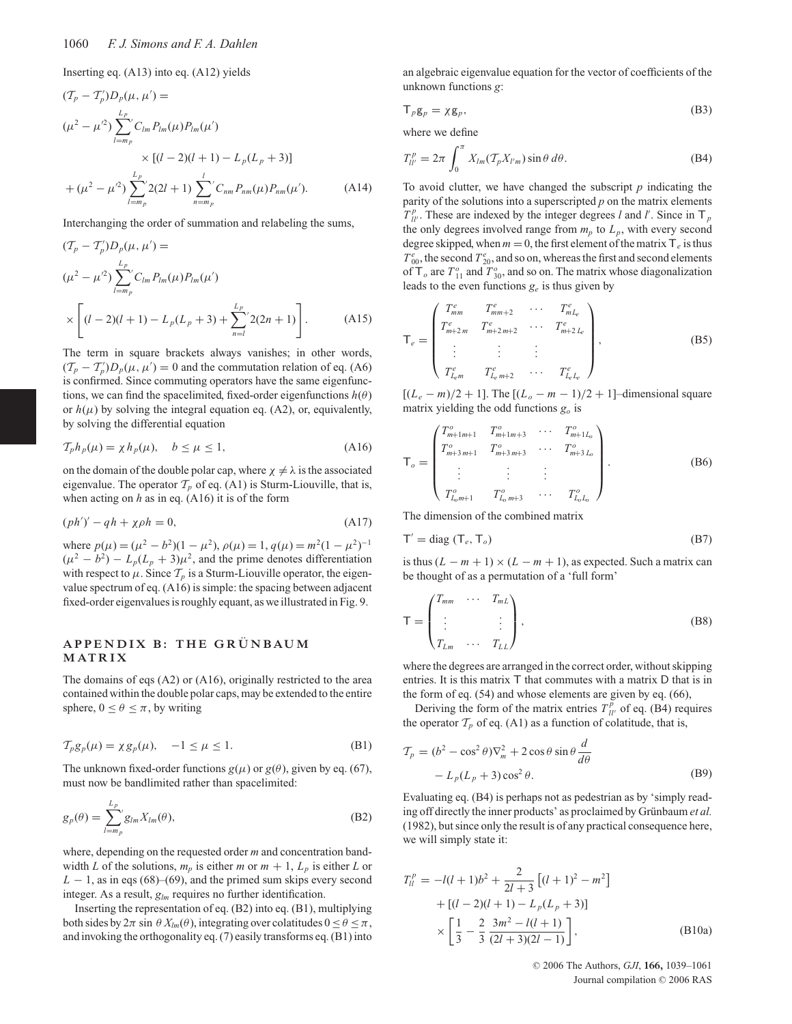Inserting eq. (A13) into eq. (A12) yields

$$
\begin{aligned} (T_p - T'_p) D_p(\mu, \mu') &= \\ (\mu^2 - \mu^2) \sum_{l=m_p}^{L_p} C_{lm} P_{lm}(\mu) P_{lm}(\mu') \\ &\times [(l-2)(l+1) - L_p(L_p + 3)] \\ &+ (\mu^2 - \mu^2) \sum_{l=m_p}^{L_p} 2(2l+1) \sum_{n=m_p}^{l} C_{nm} P_{nm}(\mu) P_{nm}(\mu'). \end{aligned} \tag{A14}
$$

Interchanging the order of summation and relabeling the sums,

$$
\begin{aligned} (T_p - T'_p) D_p(\mu, \mu') &= \\ (\mu^2 - \mu'^2) \sum_{l=m_p}^{L_p} C_{lm} P_{lm}(\mu) P_{lm}(\mu') \\ &\times \left[ (l-2)(l+1) - L_p(L_p+3) + \sum_{n=l}^{L_p} 2(2n+1) \right]. \end{aligned} \tag{A15}
$$

The term in square brackets always vanishes; in other words,  $(T_p - T_p')D_p(\mu, \mu') = 0$  and the commutation relation of eq. (A6) is confirmed. Since commuting operators have the same eigenfunctions, we can find the spacelimited, fixed-order eigenfunctions  $h(\theta)$ or  $h(\mu)$  by solving the integral equation eq. (A2), or, equivalently, by solving the differential equation

$$
\mathcal{T}_p h_p(\mu) = \chi h_p(\mu), \quad b \le \mu \le 1,
$$
\n(A16)

on the domain of the double polar cap, where  $\chi \neq \lambda$  is the associated eigenvalue. The operator  $T_p$  of eq. (A1) is Sturm-Liouville, that is, when acting on *h* as in eq. (A16) it is of the form

$$
(ph')' - qh + \chi \rho h = 0,\tag{A17}
$$

where  $p(\mu) = (\mu^2 - b^2)(1 - \mu^2)$ ,  $\rho(\mu) = 1$ ,  $q(\mu) = m^2(1 - \mu^2)^{-1}$  $(\mu^2 - b^2) - L_p(L_p + 3)\mu^2$ , and the prime denotes differentiation with respect to  $\mu$ . Since  $\mathcal{T}_p$  is a Sturm-Liouville operator, the eigenvalue spectrum of eq. (A16) is simple: the spacing between adjacent fixed-order eigenvalues is roughly equant, as we illustrated in Fig. 9.

## **APPENDIX B: THE GR UNBAUM ¨ MATRIX**

The domains of eqs (A2) or (A16), originally restricted to the area contained within the double polar caps, may be extended to the entire sphere,  $0 \le \theta \le \pi$ , by writing

$$
\mathcal{T}_p g_p(\mu) = \chi g_p(\mu), \quad -1 \le \mu \le 1. \tag{B1}
$$

The unknown fixed-order functions  $g(\mu)$  or  $g(\theta)$ , given by eq. (67), must now be bandlimited rather than spacelimited:

$$
g_p(\theta) = \sum_{l=m_p}^{L_p} g_{lm} X_{lm}(\theta),
$$
\n(B2)

where, depending on the requested order *m* and concentration bandwidth *L* of the solutions,  $m_p$  is either *m* or  $m + 1$ ,  $L_p$  is either *L* or  $L - 1$ , as in eqs (68)–(69), and the primed sum skips every second integer. As a result, *glm* requires no further identification.

Inserting the representation of eq. (B2) into eq. (B1), multiplying both sides by  $2\pi \sin \theta X_{lm}(\theta)$ , integrating over colatitudes  $0 \le \theta \le \pi$ , and invoking the orthogonality eq. (7) easily transforms eq. (B1) into an algebraic eigenvalue equation for the vector of coefficients of the unknown functions *g*:

$$
\mathsf{T}_p \mathsf{g}_p = \chi \mathsf{g}_p,\tag{B3}
$$

where we define

$$
T_{ll'}^p = 2\pi \int_0^\pi X_{lm}(T_p X_{l'm}) \sin \theta \, d\theta. \tag{B4}
$$

To avoid clutter, we have changed the subscript *p* indicating the parity of the solutions into a superscripted *p* on the matrix elements  $T_{ll'}^p$ . These are indexed by the integer degrees *l* and *l'*. Since in  $T_p$ the only degrees involved range from  $m_p$  to  $L_p$ , with every second degree skipped, when  $m = 0$ , the first element of the matrix  $\mathsf{T}_e$  is thus  $T_{00}^e$ , the second  $T_{20}^e$ , and so on, whereas the first and second elements of  $\mathsf{T}_o$  are  $T_{11}^o$  and  $T_{30}^o$ , and so on. The matrix whose diagonalization leads to the even functions *ge* is thus given by

$$
\mathsf{T}_{e} = \begin{pmatrix} T_{mm}^{e} & T_{mm+2}^{e} & \cdots & T_{mL_{e}}^{e} \\ T_{m+2m}^{e} & T_{m+2m+2}^{e} & \cdots & T_{m+2L_{e}}^{e} \\ \vdots & \vdots & \vdots & \vdots \\ T_{L_{e}m}^{e} & T_{L_{e}m+2}^{e} & \cdots & T_{L_{e}L_{e}}^{e} \end{pmatrix}, \tag{B5}
$$

 $[(L_e - m)/2 + 1]$ . The  $[(L_o - m - 1)/2 + 1]$ –dimensional square matrix yielding the odd functions *go* is

$$
\mathsf{T}_{o} = \begin{pmatrix} T_{m+1m+1}^{o} & T_{m+1m+3}^{o} & \cdots & T_{m+1L_{o}}^{o} \\ T_{m+3m+1}^{o} & T_{m+3m+3}^{o} & \cdots & T_{m+3L_{o}}^{o} \\ \vdots & \vdots & \vdots & \vdots \\ T_{L_{o}m+1}^{o} & T_{L_{o}m+3}^{o} & \cdots & T_{L_{o}L_{o}}^{o} \end{pmatrix} . \tag{B6}
$$

The dimension of the combined matrix

$$
T' = diag (T_e, T_o)
$$
 (B7)

is thus  $(L - m + 1) \times (L - m + 1)$ , as expected. Such a matrix can be thought of as a permutation of a 'full form'

$$
\mathsf{T} = \begin{pmatrix} T_{mm} & \cdots & T_{mL} \\ \vdots & & \vdots \\ T_{Lm} & \cdots & T_{LL} \end{pmatrix},\tag{B8}
$$

where the degrees are arranged in the correct order, without skipping entries. It is this matrix T that commutes with a matrix D that is in the form of eq. (54) and whose elements are given by eq. (66),

Deriving the form of the matrix entries  $T_{ll'}^p$  of eq. (B4) requires the operator  $T_p$  of eq. (A1) as a function of colatitude, that is,

$$
\mathcal{T}_p = (b^2 - \cos^2 \theta) \nabla_m^2 + 2 \cos \theta \sin \theta \frac{d}{d\theta} \n- L_p (L_p + 3) \cos^2 \theta.
$$
\n(B9)

Evaluating eq. (B4) is perhaps not as pedestrian as by 'simply reading off directly the inner products' as proclaimed by Grünbaum et al. (1982), but since only the result is of any practical consequence here, we will simply state it:

$$
T_{ll}^{p} = -l(l+1)b^{2} + \frac{2}{2l+3} [(l+1)^{2} - m^{2}]
$$
  
+ 
$$
[(l-2)(l+1) - L_{p}(L_{p} + 3)]
$$
  

$$
\times \left[\frac{1}{3} - \frac{2}{3} \frac{3m^{2} - l(l+1)}{(2l+3)(2l-1)}\right],
$$
 (B10a)